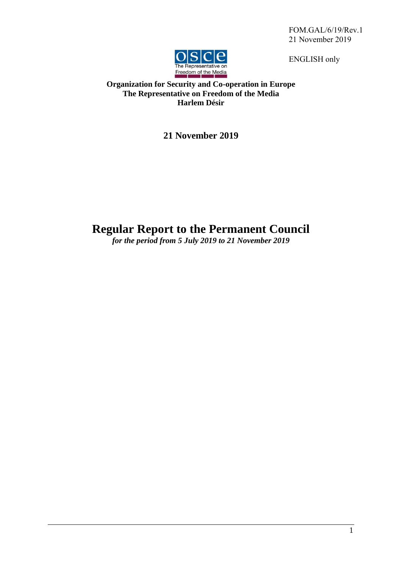FOM.GAL/6/19/Rev.1 21 November 2019

ENGLISH only



# **Organization for Security and Co-operation in Europe The Representative on Freedom of the Media Harlem Désir**

**21 November 2019**

# **Regular Report to the Permanent Council**

*for the period from 5 July 2019 to 21 November 2019*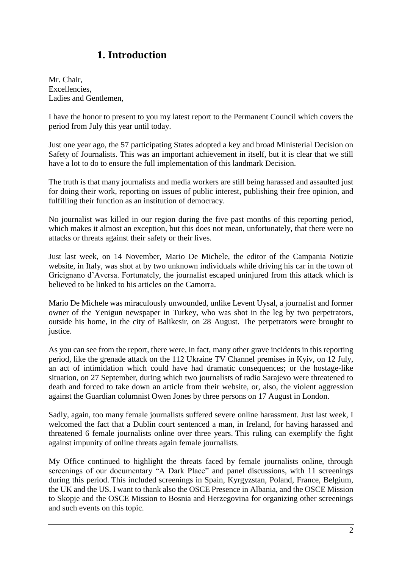# **1. Introduction**

Mr. Chair, Excellencies, Ladies and Gentlemen,

I have the honor to present to you my latest report to the Permanent Council which covers the period from July this year until today.

Just one year ago, the 57 participating States adopted a key and broad Ministerial Decision on Safety of Journalists. This was an important achievement in itself, but it is clear that we still have a lot to do to ensure the full implementation of this landmark Decision.

The truth is that many journalists and media workers are still being harassed and assaulted just for doing their work, reporting on issues of public interest, publishing their free opinion, and fulfilling their function as an institution of democracy.

No journalist was killed in our region during the five past months of this reporting period, which makes it almost an exception, but this does not mean, unfortunately, that there were no attacks or threats against their safety or their lives.

Just last week, on 14 November, Mario De Michele, the editor of the Campania Notizie website, in Italy, was shot at by two unknown individuals while driving his car in the town of Gricignano d'Aversa. Fortunately, the journalist escaped uninjured from this attack which is believed to be linked to his articles on the Camorra.

Mario De Michele was miraculously unwounded, unlike Levent Uysal, a journalist and former owner of the Yenigun newspaper in Turkey, who was shot in the leg by two perpetrators, outside his home, in the city of Balikesir, on 28 August. The perpetrators were brought to justice.

As you can see from the report, there were, in fact, many other grave incidents in this reporting period, like the grenade attack on the 112 Ukraine TV Channel premises in Kyiv, on 12 July, an act of intimidation which could have had dramatic consequences; or the hostage-like situation, on 27 September, during which two journalists of radio Sarajevo were threatened to death and forced to take down an article from their website, or, also, the violent aggression against the Guardian columnist Owen Jones by three persons on 17 August in London.

Sadly, again, too many female journalists suffered severe online harassment. Just last week, I welcomed the fact that a Dublin court sentenced a man, in Ireland, for having harassed and threatened 6 female journalists online over three years. This ruling can exemplify the fight against impunity of online threats again female journalists.

My Office continued to highlight the threats faced by female journalists online, through screenings of our documentary "A Dark Place" and panel discussions, with 11 screenings during this period. This included screenings in Spain, Kyrgyzstan, Poland, France, Belgium, the UK and the US. I want to thank also the OSCE Presence in Albania, and the OSCE Mission to Skopje and the OSCE Mission to Bosnia and Herzegovina for organizing other screenings and such events on this topic.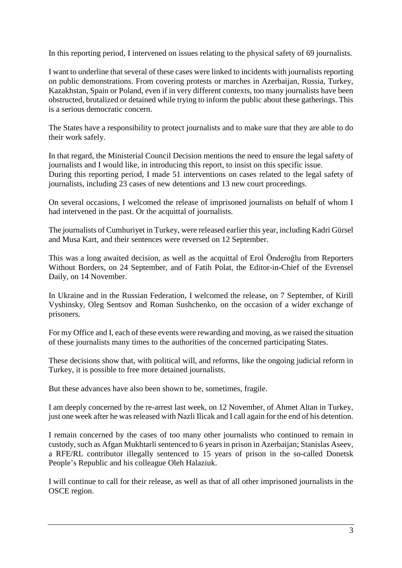In this reporting period, I intervened on issues relating to the physical safety of 69 journalists.

I want to underline that several of these cases were linked to incidents with journalists reporting on public demonstrations. From covering protests or marches in Azerbaijan, Russia, Turkey, Kazakhstan, Spain or Poland, even if in very different contexts, too many journalists have been obstructed, brutalized or detained while trying to inform the public about these gatherings. This is a serious democratic concern.

The States have a responsibility to protect journalists and to make sure that they are able to do their work safely.

In that regard, the Ministerial Council Decision mentions the need to ensure the legal safety of journalists and I would like, in introducing this report, to insist on this specific issue. During this reporting period, I made 51 interventions on cases related to the legal safety of journalists, including 23 cases of new detentions and 13 new court proceedings.

On several occasions, I welcomed the release of imprisoned journalists on behalf of whom I had intervened in the past. Or the acquittal of journalists.

The journalists of Cumhuriyet in Turkey, were released earlier this year, including Kadri Gürsel and Musa Kart, and their sentences were reversed on 12 September.

This was a long awaited decision, as well as the acquittal of Erol Önderoğlu from Reporters Without Borders, on 24 September, and of Fatih Polat, the Editor-in-Chief of the Evrensel Daily, on 14 November.

In Ukraine and in the Russian Federation, I welcomed the release, on 7 September, of Kirill Vyshinsky, Oleg Sentsov and Roman Sushchenko, on the occasion of a wider exchange of prisoners.

For my Office and I, each of these events were rewarding and moving, as we raised the situation of these journalists many times to the authorities of the concerned participating States.

These decisions show that, with political will, and reforms, like the ongoing judicial reform in Turkey, it is possible to free more detained journalists.

But these advances have also been shown to be, sometimes, fragile.

I am deeply concerned by the re-arrest last week, on 12 November, of Ahmet Altan in Turkey, just one week after he was released with Nazli Ilicak and I call again for the end of his detention.

I remain concerned by the cases of too many other journalists who continued to remain in custody, such as Afgan Mukhtarli sentenced to 6 years in prison in Azerbaijan; Stanislas Aseev, a RFE/RL contributor illegally sentenced to 15 years of prison in the so-called Donetsk People's Republic and his colleague Oleh Halaziuk.

I will continue to call for their release, as well as that of all other imprisoned journalists in the OSCE region.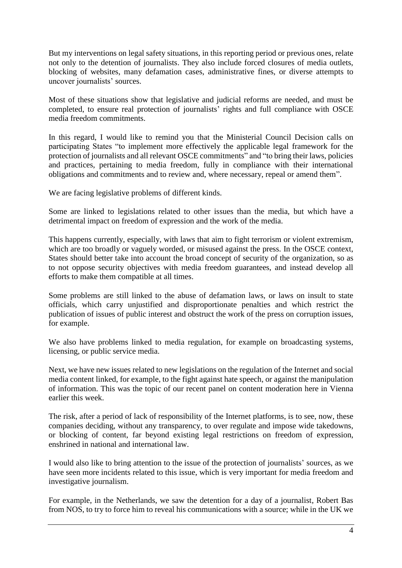But my interventions on legal safety situations, in this reporting period or previous ones, relate not only to the detention of journalists. They also include forced closures of media outlets, blocking of websites, many defamation cases, administrative fines, or diverse attempts to uncover journalists' sources.

Most of these situations show that legislative and judicial reforms are needed, and must be completed, to ensure real protection of journalists' rights and full compliance with OSCE media freedom commitments.

In this regard, I would like to remind you that the Ministerial Council Decision calls on participating States "to implement more effectively the applicable legal framework for the protection of journalists and all relevant OSCE commitments" and "to bring their laws, policies and practices, pertaining to media freedom, fully in compliance with their international obligations and commitments and to review and, where necessary, repeal or amend them".

We are facing legislative problems of different kinds.

Some are linked to legislations related to other issues than the media, but which have a detrimental impact on freedom of expression and the work of the media.

This happens currently, especially, with laws that aim to fight terrorism or violent extremism, which are too broadly or vaguely worded, or misused against the press. In the OSCE context, States should better take into account the broad concept of security of the organization, so as to not oppose security objectives with media freedom guarantees, and instead develop all efforts to make them compatible at all times.

Some problems are still linked to the abuse of defamation laws, or laws on insult to state officials, which carry unjustified and disproportionate penalties and which restrict the publication of issues of public interest and obstruct the work of the press on corruption issues, for example.

We also have problems linked to media regulation, for example on broadcasting systems, licensing, or public service media.

Next, we have new issues related to new legislations on the regulation of the Internet and social media content linked, for example, to the fight against hate speech, or against the manipulation of information. This was the topic of our recent panel on content moderation here in Vienna earlier this week.

The risk, after a period of lack of responsibility of the Internet platforms, is to see, now, these companies deciding, without any transparency, to over regulate and impose wide takedowns, or blocking of content, far beyond existing legal restrictions on freedom of expression, enshrined in national and international law.

I would also like to bring attention to the issue of the protection of journalists' sources, as we have seen more incidents related to this issue, which is very important for media freedom and investigative journalism.

For example, in the Netherlands, we saw the detention for a day of a journalist, Robert Bas from NOS, to try to force him to reveal his communications with a source; while in the UK we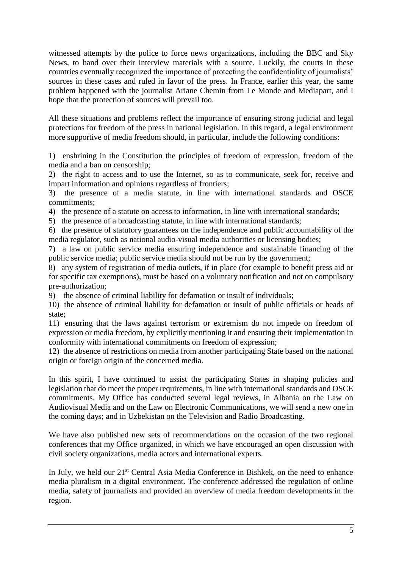witnessed attempts by the police to force news organizations, including the BBC and Sky News, to hand over their interview materials with a source. Luckily, the courts in these countries eventually recognized the importance of protecting the confidentiality of journalists' sources in these cases and ruled in favor of the press. In France, earlier this year, the same problem happened with the journalist Ariane Chemin from Le Monde and Mediapart, and I hope that the protection of sources will prevail too.

All these situations and problems reflect the importance of ensuring strong judicial and legal protections for freedom of the press in national legislation. In this regard, a legal environment more supportive of media freedom should, in particular, include the following conditions:

1) enshrining in the Constitution the principles of freedom of expression, freedom of the media and a ban on censorship;

2) the right to access and to use the Internet, so as to communicate, seek for, receive and impart information and opinions regardless of frontiers;

3) the presence of a media statute, in line with international standards and OSCE commitments;

4) the presence of a statute on access to information, in line with international standards;

5) the presence of a broadcasting statute, in line with international standards;

6) the presence of statutory guarantees on the independence and public accountability of the media regulator, such as national audio-visual media authorities or licensing bodies;

7) a law on public service media ensuring independence and sustainable financing of the public service media; public service media should not be run by the government;

8) any system of registration of media outlets, if in place (for example to benefit press aid or for specific tax exemptions), must be based on a voluntary notification and not on compulsory pre-authorization;

9) the absence of criminal liability for defamation or insult of individuals;

10) the absence of criminal liability for defamation or insult of public officials or heads of state;

11) ensuring that the laws against terrorism or extremism do not impede on freedom of expression or media freedom, by explicitly mentioning it and ensuring their implementation in conformity with international commitments on freedom of expression;

12) the absence of restrictions on media from another participating State based on the national origin or foreign origin of the concerned media.

In this spirit, I have continued to assist the participating States in shaping policies and legislation that do meet the proper requirements, in line with international standards and OSCE commitments. My Office has conducted several legal reviews, in Albania on the Law on Audiovisual Media and on the Law on Electronic Communications, we will send a new one in the coming days; and in Uzbekistan on the Television and Radio Broadcasting.

We have also published new sets of recommendations on the occasion of the two regional conferences that my Office organized, in which we have encouraged an open discussion with civil society organizations, media actors and international experts.

In July, we held our 21<sup>st</sup> Central Asia Media Conference in Bishkek, on the need to enhance media pluralism in a digital environment. The conference addressed the regulation of online media, safety of journalists and provided an overview of media freedom developments in the region.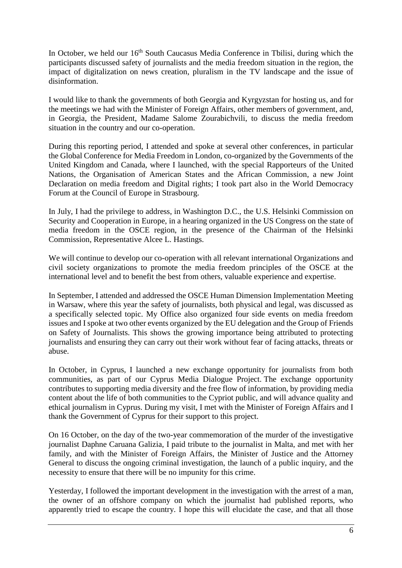In October, we held our 16<sup>th</sup> South Caucasus Media Conference in Tbilisi, during which the participants discussed safety of journalists and the media freedom situation in the region, the impact of digitalization on news creation, pluralism in the TV landscape and the issue of disinformation.

I would like to thank the governments of both Georgia and Kyrgyzstan for hosting us, and for the meetings we had with the Minister of Foreign Affairs, other members of government, and, in Georgia, the President, Madame Salome Zourabichvili, to discuss the media freedom situation in the country and our co-operation.

During this reporting period, I attended and spoke at several other conferences, in particular the Global Conference for Media Freedom in London, co-organized by the Governments of the United Kingdom and Canada, where I launched, with the special Rapporteurs of the United Nations, the Organisation of American States and the African Commission, a new Joint Declaration on media freedom and Digital rights; I took part also in the World Democracy Forum at the Council of Europe in Strasbourg.

In July, I had the privilege to address, in Washington D.C., the U.S. Helsinki Commission on Security and Cooperation in Europe, in a hearing organized in the US Congress on the state of media freedom in the OSCE region, in the presence of the Chairman of the Helsinki Commission, Representative Alcee L. Hastings.

We will continue to develop our co-operation with all relevant international Organizations and civil society organizations to promote the media freedom principles of the OSCE at the international level and to benefit the best from others, valuable experience and expertise.

In September, I attended and addressed the OSCE Human Dimension Implementation Meeting in Warsaw, where this year the safety of journalists, both physical and legal, was discussed as a specifically selected topic. My Office also organized four side events on media freedom issues and I spoke at two other events organized by the EU delegation and the Group of Friends on Safety of Journalists. This shows the growing importance being attributed to protecting journalists and ensuring they can carry out their work without fear of facing attacks, threats or abuse.

In October, in Cyprus, I launched a new exchange opportunity for journalists from both communities, as part of our Cyprus Media Dialogue Project. The exchange opportunity contributes to supporting media diversity and the free flow of information, by providing media content about the life of both communities to the Cypriot public, and will advance quality and ethical journalism in Cyprus. During my visit, I met with the Minister of Foreign Affairs and I thank the Government of Cyprus for their support to this project.

On 16 October, on the day of the two-year commemoration of the murder of the investigative journalist Daphne Caruana Galizia, I paid tribute to the journalist in Malta, and met with her family, and with the Minister of Foreign Affairs, the Minister of Justice and the Attorney General to discuss the ongoing criminal investigation, the launch of a public inquiry, and the necessity to ensure that there will be no impunity for this crime.

Yesterday, I followed the important development in the investigation with the arrest of a man, the owner of an offshore company on which the journalist had published reports, who apparently tried to escape the country. I hope this will elucidate the case, and that all those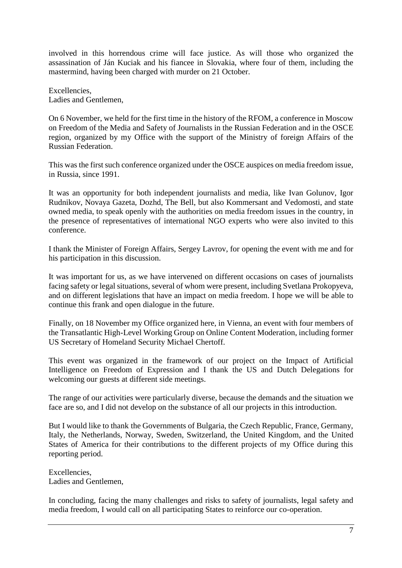involved in this horrendous crime will face justice. As will those who organized the assassination of Ján Kuciak and his fiancee in Slovakia, where four of them, including the mastermind, having been charged with murder on 21 October.

Excellencies, Ladies and Gentlemen,

On 6 November, we held for the first time in the history of the RFOM, a conference in Moscow on Freedom of the Media and Safety of Journalists in the Russian Federation and in the OSCE region, organized by my Office with the support of the Ministry of foreign Affairs of the Russian Federation.

This was the first such conference organized under the OSCE auspices on media freedom issue, in Russia, since 1991.

It was an opportunity for both independent journalists and media, like Ivan Golunov, Igor Rudnikov, Novaya Gazeta, Dozhd, The Bell, but also Kommersant and Vedomosti, and state owned media, to speak openly with the authorities on media freedom issues in the country, in the presence of representatives of international NGO experts who were also invited to this conference.

I thank the Minister of Foreign Affairs, Sergey Lavrov, for opening the event with me and for his participation in this discussion.

It was important for us, as we have intervened on different occasions on cases of journalists facing safety or legal situations, several of whom were present, including Svetlana Prokopyeva, and on different legislations that have an impact on media freedom. I hope we will be able to continue this frank and open dialogue in the future.

Finally, on 18 November my Office organized here, in Vienna, an event with four members of the Transatlantic High-Level Working Group on Online Content Moderation, including former US Secretary of Homeland Security Michael Chertoff.

This event was organized in the framework of our project on the Impact of Artificial Intelligence on Freedom of Expression and I thank the US and Dutch Delegations for welcoming our guests at different side meetings.

The range of our activities were particularly diverse, because the demands and the situation we face are so, and I did not develop on the substance of all our projects in this introduction.

But I would like to thank the Governments of Bulgaria, the Czech Republic, France, Germany, Italy, the Netherlands, Norway, Sweden, Switzerland, the United Kingdom, and the United States of America for their contributions to the different projects of my Office during this reporting period.

Excellencies, Ladies and Gentlemen,

In concluding, facing the many challenges and risks to safety of journalists, legal safety and media freedom, I would call on all participating States to reinforce our co-operation.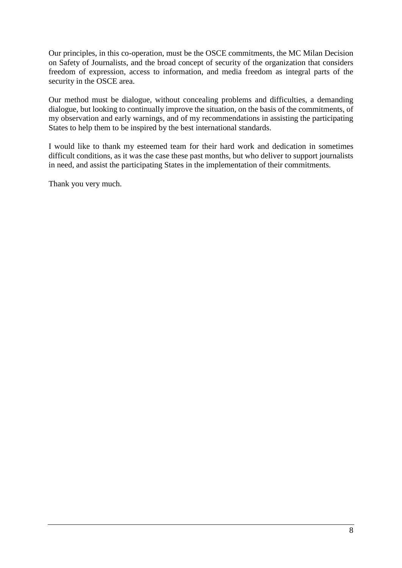Our principles, in this co-operation, must be the OSCE commitments, the MC Milan Decision on Safety of Journalists, and the broad concept of security of the organization that considers freedom of expression, access to information, and media freedom as integral parts of the security in the OSCE area.

Our method must be dialogue, without concealing problems and difficulties, a demanding dialogue, but looking to continually improve the situation, on the basis of the commitments, of my observation and early warnings, and of my recommendations in assisting the participating States to help them to be inspired by the best international standards.

I would like to thank my esteemed team for their hard work and dedication in sometimes difficult conditions, as it was the case these past months, but who deliver to support journalists in need, and assist the participating States in the implementation of their commitments.

Thank you very much.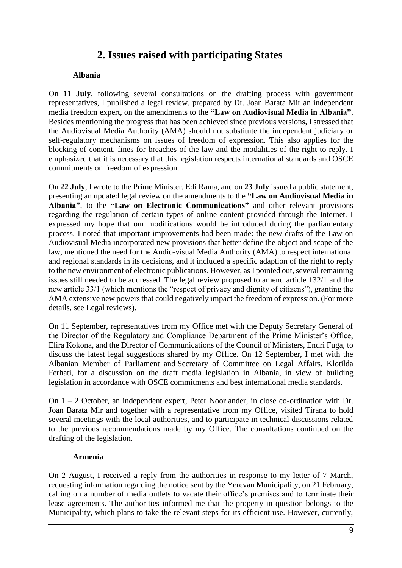# **2. Issues raised with participating States**

#### **Albania**

On **11 July**, following several consultations on the drafting process with government representatives, I published a legal review, prepared by Dr. Joan Barata Mir an independent media freedom expert, on the amendments to the **"Law on Audiovisual Media in Albania"**. Besides mentioning the progress that has been achieved since previous versions, I stressed that the Audiovisual Media Authority (AMA) should not substitute the independent judiciary or self-regulatory mechanisms on issues of freedom of expression. This also applies for the blocking of content, fines for breaches of the law and the modalities of the right to reply. I emphasized that it is necessary that this legislation respects international standards and OSCE commitments on freedom of expression.

On **22 July**, I wrote to the Prime Minister, Edi Rama, and on **23 July** issued a public statement, presenting an updated legal review on the amendments to the **"Law on Audiovisual Media in Albania"**, to the **"Law on Electronic Communications"** and other relevant provisions regarding the regulation of certain types of online content provided through the Internet. I expressed my hope that our modifications would be introduced during the parliamentary process. I noted that important improvements had been made: the new drafts of the Law on Audiovisual Media incorporated new provisions that better define the object and scope of the law, mentioned the need for the Audio-visual Media Authority (AMA) to respect international and regional standards in its decisions, and it included a specific adaption of the right to reply to the new environment of electronic publications. However, as I pointed out, several remaining issues still needed to be addressed. The legal review proposed to amend article 132/1 and the new article 33/1 (which mentions the "respect of privacy and dignity of citizens"), granting the AMA extensive new powers that could negatively impact the freedom of expression. (For more details, see Legal reviews).

On 11 September, representatives from my Office met with the Deputy Secretary General of the Director of the Regulatory and Compliance Department of the Prime Minister's Office, Elira Kokona, and the Director of Communications of the Council of Ministers, Endri Fuga, to discuss the latest legal suggestions shared by my Office. On 12 September, I met with the Albanian Member of Parliament and Secretary of Committee on Legal Affairs, Klotilda Ferhati, for a discussion on the draft media legislation in Albania, in view of building legislation in accordance with OSCE commitments and best international media standards.

On 1 – 2 October, an independent expert, Peter Noorlander, in close co-ordination with Dr. Joan Barata Mir and together with a representative from my Office, visited Tirana to hold several meetings with the local authorities, and to participate in technical discussions related to the previous recommendations made by my Office. The consultations continued on the drafting of the legislation.

#### **Armenia**

On 2 August, I received a reply from the authorities in response to my letter of 7 March, requesting information regarding the notice sent by the Yerevan Municipality, on 21 February, calling on a number of media outlets to vacate their office's premises and to terminate their lease agreements. The authorities informed me that the property in question belongs to the Municipality, which plans to take the relevant steps for its efficient use. However, currently,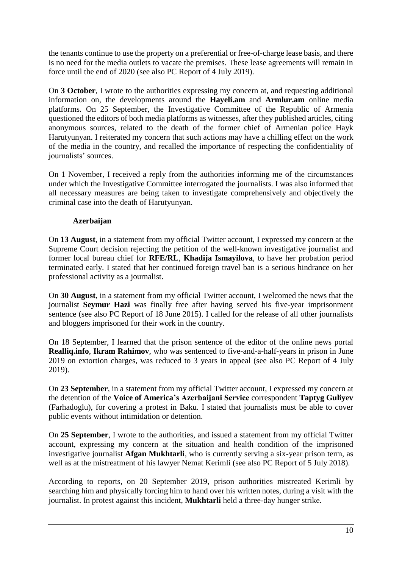the tenants continue to use the property on a preferential or free-of-charge lease basis, and there is no need for the media outlets to vacate the premises. These lease agreements will remain in force until the end of 2020 (see also PC Report of 4 July 2019).

On **3 October**, I wrote to the authorities expressing my concern at, and requesting additional information on, the developments around the **Hayeli.am** and **Armlur.am** online media platforms. On 25 September, the Investigative Committee of the Republic of Armenia questioned the editors of both media platforms as witnesses, after they published articles, citing anonymous sources, related to the death of the former chief of Armenian police Hayk Harutyunyan. I reiterated my concern that such actions may have a chilling effect on the work of the media in the country, and recalled the importance of respecting the confidentiality of journalists' sources.

On 1 November, I received a reply from the authorities informing me of the circumstances under which the Investigative Committee interrogated the journalists. I was also informed that all necessary measures are being taken to investigate comprehensively and objectively the criminal case into the death of Harutyunyan.

### **Azerbaijan**

On **13 August**, in a statement from my official Twitter account, I expressed my concern at the Supreme Court decision rejecting the petition of the well-known investigative journalist and former local bureau chief for **RFE/RL**, **Khadija Ismayilova**, to have her probation period terminated early. I stated that her continued foreign travel ban is a serious hindrance on her professional activity as a journalist.

On **30 August**, in a statement from my official Twitter account, I welcomed the news that the journalist **Seymur Hazi** was finally free after having served his five-year imprisonment sentence (see also PC Report of 18 June 2015). I called for the release of all other journalists and bloggers imprisoned for their work in the country.

On 18 September, I learned that the prison sentence of the editor of the online news portal **Realliq.info**, **Ikram Rahimov**, who was sentenced to five-and-a-half-years in prison in June 2019 on extortion charges, was reduced to 3 years in appeal (see also PC Report of 4 July 2019).

On **23 September**, in a statement from my official Twitter account, I expressed my concern at the detention of the **Voice of America's Azerbaijani Service** correspondent **Taptyg Guliyev** (Farhadoglu), for covering a protest in Baku. I stated that journalists must be able to cover public events without intimidation or detention.

On **25 September**, I wrote to the authorities, and issued a statement from my official Twitter account, expressing my concern at the situation and health condition of the imprisoned investigative journalist **Afgan Mukhtarli**, who is currently serving a six-year prison term, as well as at the mistreatment of his lawyer Nemat Kerimli (see also PC Report of 5 July 2018).

According to reports, on 20 September 2019, prison authorities mistreated Kerimli by searching him and physically forcing him to hand over his written notes, during a visit with the journalist. In protest against this incident, **Mukhtarli** held a three-day hunger strike.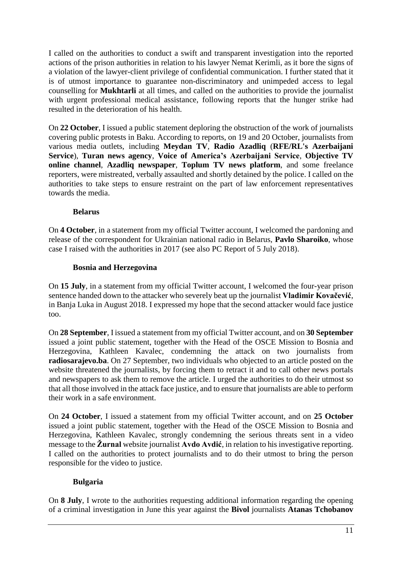I called on the authorities to conduct a swift and transparent investigation into the reported actions of the prison authorities in relation to his lawyer Nemat Kerimli, as it bore the signs of a violation of the lawyer-client privilege of confidential communication. I further stated that it is of utmost importance to guarantee non-discriminatory and unimpeded access to legal counselling for **Mukhtarli** at all times, and called on the authorities to provide the journalist with urgent professional medical assistance, following reports that the hunger strike had resulted in the deterioration of his health.

On **22 October**, I issued a public statement deploring the obstruction of the work of journalists covering public protests in Baku. According to reports, on 19 and 20 October, journalists from various media outlets, including **Meydan TV**, **Radio Azadliq** (**RFE/RL's Azerbaijani Service**), **Turan news agency**, **Voice of America's Azerbaijani Service**, **Objective TV online channel**, **Azadliq newspaper**, **Toplum TV news platform**, and some freelance reporters, were mistreated, verbally assaulted and shortly detained by the police. I called on the authorities to take steps to ensure restraint on the part of law enforcement representatives towards the media.

#### **Belarus**

On **4 October**, in a statement from my official Twitter account, I welcomed the pardoning and release of the correspondent for Ukrainian national radio in Belarus, **Pavlo Sharoiko**, whose case I raised with the authorities in 2017 (see also PC Report of 5 July 2018).

#### **Bosnia and Herzegovina**

On **15 July**, in a statement from my official Twitter account, I welcomed the four-year prison sentence handed down to the attacker who severely beat up the journalist **Vladimir Kovačević**, in Banja Luka in August 2018. I expressed my hope that the second attacker would face justice too.

On **28 September**, I issued a statement from my official Twitter account, and on **30 September** issued a joint public statement, together with the Head of the OSCE Mission to Bosnia and Herzegovina, Kathleen Kavalec, condemning the attack on two journalists from **radiosarajevo.ba**. On 27 September, two individuals who objected to an article posted on the website threatened the journalists, by forcing them to retract it and to call other news portals and newspapers to ask them to remove the article. I urged the authorities to do their utmost so that all those involved in the attack face justice, and to ensure that journalists are able to perform their work in a safe environment.

On **24 October**, I issued a statement from my official Twitter account, and on **25 October** issued a joint public statement, together with the Head of the OSCE Mission to Bosnia and Herzegovina, Kathleen Kavalec, strongly condemning the serious threats sent in a video message to the **Žurnal** website journalist **Avdo Avdić**, in relation to his investigative reporting. I called on the authorities to protect journalists and to do their utmost to bring the person responsible for the video to justice.

# **Bulgaria**

On **8 July**, I wrote to the authorities requesting additional information regarding the opening of a criminal investigation in June this year against the **Bivol** journalists **Atanas Tchobanov**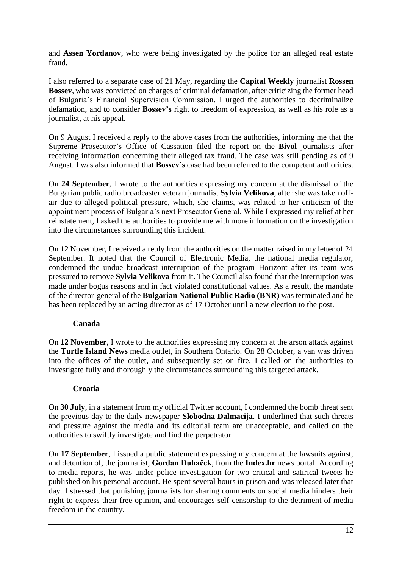and **Assen Yordanov**, who were being investigated by the police for an alleged real estate fraud.

I also referred to a separate case of 21 May, regarding the **Capital Weekly** journalist **Rossen Bossev**, who was convicted on charges of criminal defamation, after criticizing the former head of Bulgaria's Financial Supervision Commission. I urged the authorities to decriminalize defamation, and to consider **Bossev's** right to freedom of expression, as well as his role as a journalist, at his appeal.

On 9 August I received a reply to the above cases from the authorities, informing me that the Supreme Prosecutor's Office of Cassation filed the report on the **Bivol** journalists after receiving information concerning their alleged tax fraud. The case was still pending as of 9 August. I was also informed that **Bossev's** case had been referred to the competent authorities.

On **24 September**, I wrote to the authorities expressing my concern at the dismissal of the Bulgarian public radio broadcaster veteran journalist **Sylvia Velikova**, after she was taken offair due to alleged political pressure, which, she claims, was related to her criticism of the appointment process of Bulgaria's next Prosecutor General. While I expressed my relief at her reinstatement, I asked the authorities to provide me with more information on the investigation into the circumstances surrounding this incident.

On 12 November, I received a reply from the authorities on the matter raised in my letter of 24 September. It noted that the Council of Electronic Media, the national media regulator, condemned the undue broadcast interruption of the program Horizont after its team was pressured to remove **Sylvia Velikova** from it. The Council also found that the interruption was made under bogus reasons and in fact violated constitutional values. As a result, the mandate of the director-general of the **Bulgarian National Public Radio (BNR)** was terminated and he has been replaced by an acting director as of 17 October until a new election to the post.

#### **Canada**

On **12 November**, I wrote to the authorities expressing my concern at the arson attack against the **Turtle Island News** media outlet, in Southern Ontario. On 28 October, a van was driven into the offices of the outlet, and subsequently set on fire. I called on the authorities to investigate fully and thoroughly the circumstances surrounding this targeted attack.

# **Croatia**

On **30 July**, in a statement from my official Twitter account, I condemned the bomb threat sent the previous day to the daily newspaper **Slobodna Dalmacija**. I underlined that such threats and pressure against the media and its editorial team are unacceptable, and called on the authorities to swiftly investigate and find the perpetrator.

On **17 September**, I issued a public statement expressing my concern at the lawsuits against, and detention of, the journalist, **Gordan Duhaček**, from the **Index.hr** news portal. According to media reports, he was under police investigation for two critical and satirical tweets he published on his personal account. He spent several hours in prison and was released later that day. I stressed that punishing journalists for sharing comments on social media hinders their right to express their free opinion, and encourages self-censorship to the detriment of media freedom in the country.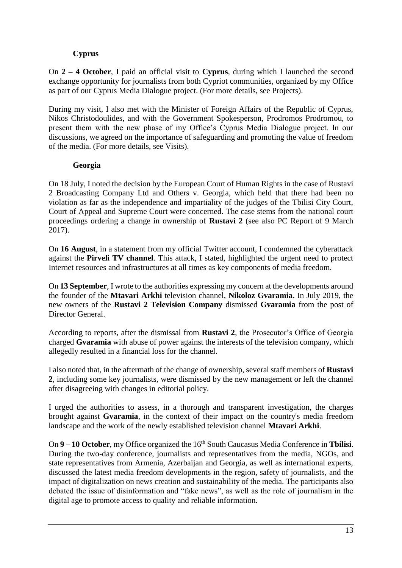# **Cyprus**

On **2 – 4 October**, I paid an official visit to **Cyprus**, during which I launched the second exchange opportunity for journalists from both Cypriot communities, organized by my Office as part of our Cyprus Media Dialogue project. (For more details, see Projects).

During my visit, I also met with the Minister of Foreign Affairs of the Republic of Cyprus, Nikos Christodoulides, and with the Government Spokesperson, Prodromos Prodromou, to present them with the new phase of my Office's Cyprus Media Dialogue project. In our discussions, we agreed on the importance of safeguarding and promoting the value of freedom of the media. (For more details, see Visits).

# **Georgia**

On 18 July, I noted the decision by the European Court of Human Rights in the case of Rustavi 2 Broadcasting Company Ltd and Others v. Georgia, which held that there had been no violation as far as the independence and impartiality of the judges of the Tbilisi City Court, Court of Appeal and Supreme Court were concerned. The case stems from the national court proceedings ordering a change in ownership of **Rustavi 2** (see also PC Report of 9 March 2017).

On **16 August**, in a statement from my official Twitter account, I condemned the cyberattack against the **Pirveli TV channel**. This attack, I stated, highlighted the urgent need to protect Internet resources and infrastructures at all times as key components of media freedom.

On **13 September**, I wrote to the authorities expressing my concern at the developments around the founder of the **Mtavari Arkhi** television channel, **Nikoloz Gvaramia**. In July 2019, the new owners of the **Rustavi 2 Television Company** dismissed **Gvaramia** from the post of Director General.

According to reports, after the dismissal from **Rustavi 2**, the Prosecutor's Office of Georgia charged **Gvaramia** with abuse of power against the interests of the television company, which allegedly resulted in a financial loss for the channel.

I also noted that, in the aftermath of the change of ownership, several staff members of **Rustavi 2**, including some key journalists, were dismissed by the new management or left the channel after disagreeing with changes in editorial policy.

I urged the authorities to assess, in a thorough and transparent investigation, the charges brought against **Gvaramia**, in the context of their impact on the country's media freedom landscape and the work of the newly established television channel **Mtavari Arkhi**.

On **9 – 10 October**, my Office organized the 16<sup>th</sup> South Caucasus Media Conference in **Tbilisi**. During the two-day conference, journalists and representatives from the media, NGOs, and state representatives from Armenia, Azerbaijan and Georgia, as well as international experts, discussed the latest media freedom developments in the region, safety of journalists, and the impact of digitalization on news creation and sustainability of the media. The participants also debated the issue of disinformation and "fake news", as well as the role of journalism in the digital age to promote access to quality and reliable information.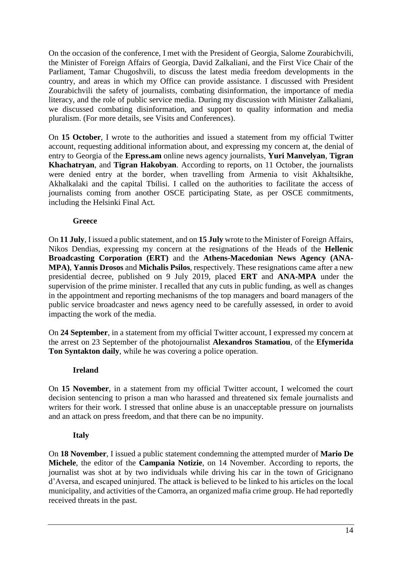On the occasion of the conference, I met with the President of Georgia, Salome Zourabichvili, the Minister of Foreign Affairs of Georgia, David Zalkaliani, and the First Vice Chair of the Parliament, Tamar Chugoshvili, to discuss the latest media freedom developments in the country, and areas in which my Office can provide assistance. I discussed with President Zourabichvili the safety of journalists, combating disinformation, the importance of media literacy, and the role of public service media. During my discussion with Minister Zalkaliani, we discussed combating disinformation, and support to quality information and media pluralism. (For more details, see Visits and Conferences).

On **15 October**, I wrote to the authorities and issued a statement from my official Twitter account, requesting additional information about, and expressing my concern at, the denial of entry to Georgia of the **Epress.am** online news agency journalists, **Yuri Manvelyan**, **Tigran Khachatryan**, and **Tigran Hakobyan**. According to reports, on 11 October, the journalists were denied entry at the border, when travelling from Armenia to visit Akhaltsikhe, Akhalkalaki and the capital Tbilisi. I called on the authorities to facilitate the access of journalists coming from another OSCE participating State, as per OSCE commitments, including the Helsinki Final Act.

#### **Greece**

On **11 July**, I issued a public statement, and on **15 July** wrote to the Minister of Foreign Affairs, Nikos Dendias, expressing my concern at the resignations of the Heads of the **Hellenic Broadcasting Corporation (ERT)** and the **Athens-Macedonian News Agency (ANA-MPA)**, **Yannis Drosos** and **Michalis Psilos**, respectively. These resignations came after a new presidential decree, published on 9 July 2019, placed **ERT** and **ANA-MPA** under the supervision of the prime minister. I recalled that any cuts in public funding, as well as changes in the appointment and reporting mechanisms of the top managers and board managers of the public service broadcaster and news agency need to be carefully assessed, in order to avoid impacting the work of the media.

On **24 September**, in a statement from my official Twitter account, I expressed my concern at the arrest on 23 September of the photojournalist **Alexandros Stamatiou**, of the **Efymerida Ton Syntakton daily**, while he was covering a police operation.

#### **Ireland**

On **15 November**, in a statement from my official Twitter account, I welcomed the court decision sentencing to prison a man who harassed and threatened six female journalists and writers for their work. I stressed that online abuse is an unacceptable pressure on journalists and an attack on press freedom, and that there can be no impunity.

#### **Italy**

On **18 November**, I issued a public statement condemning the attempted murder of **Mario De Michele**, the editor of the **Campania Notizie**, on 14 November. According to reports, the journalist was shot at by two individuals while driving his car in the town of Gricignano d'Aversa, and escaped uninjured. The attack is believed to be linked to his articles on the local municipality, and activities of the Camorra, an organized mafia crime group. He had reportedly received threats in the past.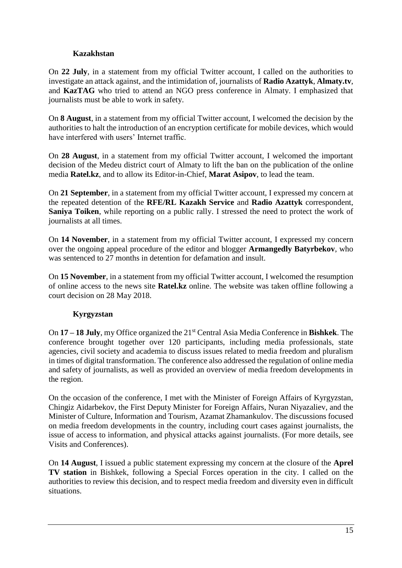### **Kazakhstan**

On **22 July**, in a statement from my official Twitter account, I called on the authorities to investigate an attack against, and the intimidation of, journalists of **Radio Azattyk**, **Almaty.tv**, and **KazTAG** who tried to attend an NGO press conference in Almaty. I emphasized that journalists must be able to work in safety.

On **8 August**, in a statement from my official Twitter account, I welcomed the decision by the authorities to halt the introduction of an encryption certificate for mobile devices, which would have interfered with users' Internet traffic.

On **28 August**, in a statement from my official Twitter account, I welcomed the important decision of the Medeu district court of Almaty to lift the ban on the publication of the online media **Ratel.kz**, and to allow its Editor-in-Chief, **Marat Asipov**, to lead the team.

On **21 September**, in a statement from my official Twitter account, I expressed my concern at the repeated detention of the **RFE/RL Kazakh Service** and **Radio Azattyk** correspondent, **Saniya Toiken**, while reporting on a public rally. I stressed the need to protect the work of journalists at all times.

On **14 November**, in a statement from my official Twitter account, I expressed my concern over the ongoing appeal procedure of the editor and blogger **Armangedly Batyrbekov**, who was sentenced to 27 months in detention for defamation and insult.

On **15 November**, in a statement from my official Twitter account, I welcomed the resumption of online access to the news site **Ratel.kz** online. The website was taken offline following a court decision on 28 May 2018.

# **Kyrgyzstan**

On **17 – 18 July**, my Office organized the 21st Central Asia Media Conference in **Bishkek**. The conference brought together over 120 participants, including media professionals, state agencies, civil society and academia to discuss issues related to media freedom and pluralism in times of digital transformation. The conference also addressed the regulation of online media and safety of journalists, as well as provided an overview of media freedom developments in the region.

On the occasion of the conference, I met with the Minister of Foreign Affairs of Kyrgyzstan, Chingiz Aidarbekov, the First Deputy Minister for Foreign Affairs, Nuran Niyazaliev, and the Minister of Culture, Information and Tourism, Azamat Zhamankulov. The discussions focused on media freedom developments in the country, including court cases against journalists, the issue of access to information, and physical attacks against journalists. (For more details, see Visits and Conferences).

On **14 August**, I issued a public statement expressing my concern at the closure of the **Aprel TV station** in Bishkek, following a Special Forces operation in the city. I called on the authorities to review this decision, and to respect media freedom and diversity even in difficult situations.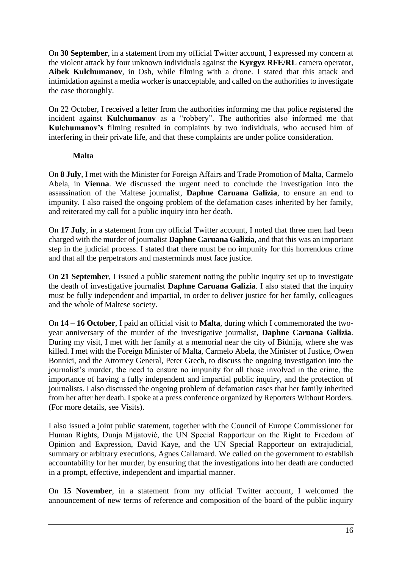On **30 September**, in a statement from my official Twitter account, I expressed my concern at the violent attack by four unknown individuals against the **Kyrgyz RFE/RL** camera operator, **Aibek Kulchumanov**, in Osh, while filming with a drone. I stated that this attack and intimidation against a media worker is unacceptable, and called on the authorities to investigate the case thoroughly.

On 22 October, I received a letter from the authorities informing me that police registered the incident against **Kulchumanov** as a "robbery". The authorities also informed me that **Kulchumanov's** filming resulted in complaints by two individuals, who accused him of interfering in their private life, and that these complaints are under police consideration.

### **Malta**

On **8 July**, I met with the Minister for Foreign Affairs and Trade Promotion of Malta, Carmelo Abela, in **Vienna**. We discussed the urgent need to conclude the investigation into the assassination of the Maltese journalist, **Daphne Caruana Galizia**, to ensure an end to impunity. I also raised the ongoing problem of the defamation cases inherited by her family, and reiterated my call for a public inquiry into her death.

On **17 July**, in a statement from my official Twitter account, I noted that three men had been charged with the murder of journalist **Daphne Caruana Galizia**, and that this was an important step in the judicial process. I stated that there must be no impunity for this horrendous crime and that all the perpetrators and masterminds must face justice.

On **21 September**, I issued a public statement noting the public inquiry set up to investigate the death of investigative journalist **Daphne Caruana Galizia**. I also stated that the inquiry must be fully independent and impartial, in order to deliver justice for her family, colleagues and the whole of Maltese society.

On **14 – 16 October**, I paid an official visit to **Malta**, during which I commemorated the twoyear anniversary of the murder of the investigative journalist, **Daphne Caruana Galizia**. During my visit, I met with her family at a memorial near the city of Bidnija, where she was killed. I met with the Foreign Minister of Malta, Carmelo Abela, the Minister of Justice, Owen Bonnici, and the Attorney General, Peter Grech, to discuss the ongoing investigation into the journalist's murder, the need to ensure no impunity for all those involved in the crime, the importance of having a fully independent and impartial public inquiry, and the protection of journalists. I also discussed the ongoing problem of defamation cases that her family inherited from her after her death. I spoke at a press conference organized by Reporters Without Borders. (For more details, see Visits).

I also issued a joint public statement, together with the Council of Europe Commissioner for Human Rights, Dunja Mijatović, the UN Special Rapporteur on the Right to Freedom of Opinion and Expression, David Kaye, and the UN Special Rapporteur on extrajudicial, summary or arbitrary executions, Agnes Callamard. We called on the government to establish accountability for her murder, by ensuring that the investigations into her death are conducted in a prompt, effective, independent and impartial manner.

On **15 November**, in a statement from my official Twitter account, I welcomed the announcement of new terms of reference and composition of the board of the public inquiry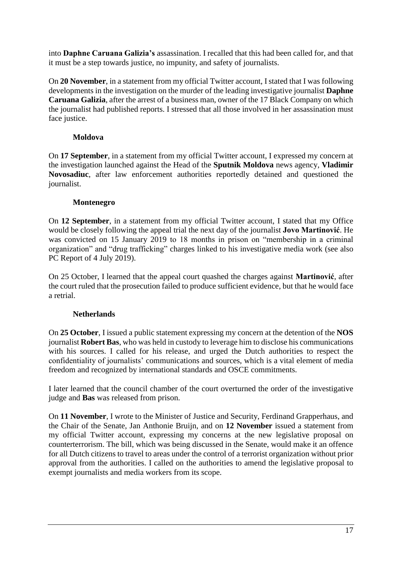into **Daphne Caruana Galizia's** assassination. I recalled that this had been called for, and that it must be a step towards justice, no impunity, and safety of journalists.

On **20 November**, in a statement from my official Twitter account, I stated that I was following developments in the investigation on the murder of the leading investigative journalist **Daphne Caruana Galizia**, after the arrest of a business man, owner of the 17 Black Company on which the journalist had published reports. I stressed that all those involved in her assassination must face justice.

# **Moldova**

On **17 September**, in a statement from my official Twitter account, I expressed my concern at the investigation launched against the Head of the **Sputnik Moldova** news agency, **Vladimir Novosadiuc**, after law enforcement authorities reportedly detained and questioned the journalist.

# **Montenegro**

On **12 September**, in a statement from my official Twitter account, I stated that my Office would be closely following the appeal trial the next day of the journalist **Jovo Martinović**. He was convicted on 15 January 2019 to 18 months in prison on "membership in a criminal organization" and "drug trafficking" charges linked to his investigative media work (see also PC Report of 4 July 2019).

On 25 October, I learned that the appeal court quashed the charges against **Martinović**, after the court ruled that the prosecution failed to produce sufficient evidence, but that he would face a retrial.

# **Netherlands**

On **25 October**, I issued a public statement expressing my concern at the detention of the **NOS** journalist **Robert Bas**, who was held in custody to leverage him to disclose his communications with his sources. I called for his release, and urged the Dutch authorities to respect the confidentiality of journalists' communications and sources, which is a vital element of media freedom and recognized by international standards and OSCE commitments.

I later learned that the council chamber of the court overturned the order of the investigative judge and **Bas** was released from prison.

On **11 November**, I wrote to the Minister of Justice and Security, Ferdinand Grapperhaus, and the Chair of the Senate, Jan Anthonie Bruijn, and on **12 November** issued a statement from my official Twitter account, expressing my concerns at the new legislative proposal on counterterrorism. The bill, which was being discussed in the Senate, would make it an offence for all Dutch citizens to travel to areas under the control of a terrorist organization without prior approval from the authorities. I called on the authorities to amend the legislative proposal to exempt journalists and media workers from its scope.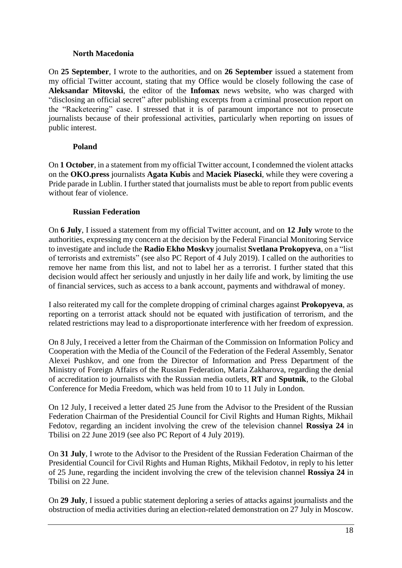### **North Macedonia**

On **25 September**, I wrote to the authorities, and on **26 September** issued a statement from my official Twitter account, stating that my Office would be closely following the case of **Aleksandar Mitovski**, the editor of the **Infomax** news website, who was charged with "disclosing an official secret" after publishing excerpts from a criminal prosecution report on the "Racketeering" case. I stressed that it is of paramount importance not to prosecute journalists because of their professional activities, particularly when reporting on issues of public interest.

# **Poland**

On **1 October**, in a statement from my official Twitter account, I condemned the violent attacks on the **OKO.press** journalists **Agata Kubis** and **Maciek Piasecki**, while they were covering a Pride parade in Lublin. I further stated that journalists must be able to report from public events without fear of violence.

# **Russian Federation**

On **6 July**, I issued a statement from my official Twitter account, and on **12 July** wrote to the authorities, expressing my concern at the decision by the Federal Financial Monitoring Service to investigate and include the **Radio Ekho Moskvy** journalist **Svetlana Prokopyeva**, on a "list of terrorists and extremists" (see also PC Report of 4 July 2019). I called on the authorities to remove her name from this list, and not to label her as a terrorist. I further stated that this decision would affect her seriously and unjustly in her daily life and work, by limiting the use of financial services, such as access to a bank account, payments and withdrawal of money.

I also reiterated my call for the complete dropping of criminal charges against **Prokopyeva**, as reporting on a terrorist attack should not be equated with justification of terrorism, and the related restrictions may lead to a disproportionate interference with her freedom of expression.

On 8 July, I received a letter from the Chairman of the Commission on Information Policy and Cooperation with the Media of the Council of the Federation of the Federal Assembly, Senator Alexei Pushkov, and one from the Director of Information and Press Department of the Ministry of Foreign Affairs of the Russian Federation, Maria Zakharova, regarding the denial of accreditation to journalists with the Russian media outlets, **RT** and **Sputnik**, to the Global Conference for Media Freedom, which was held from 10 to 11 July in London.

On 12 July, I received a letter dated 25 June from the Advisor to the President of the Russian Federation Chairman of the Presidential Council for Civil Rights and Human Rights, Mikhail Fedotov, regarding an incident involving the crew of the television channel **Rossiya 24** in Tbilisi on 22 June 2019 (see also PC Report of 4 July 2019).

On **31 July**, I wrote to the Advisor to the President of the Russian Federation Chairman of the Presidential Council for Civil Rights and Human Rights, Mikhail Fedotov, in reply to his letter of 25 June, regarding the incident involving the crew of the television channel **Rossiya 24** in Tbilisi on 22 June.

On **29 July**, I issued a public statement deploring a series of attacks against journalists and the obstruction of media activities during an election-related demonstration on 27 July in Moscow.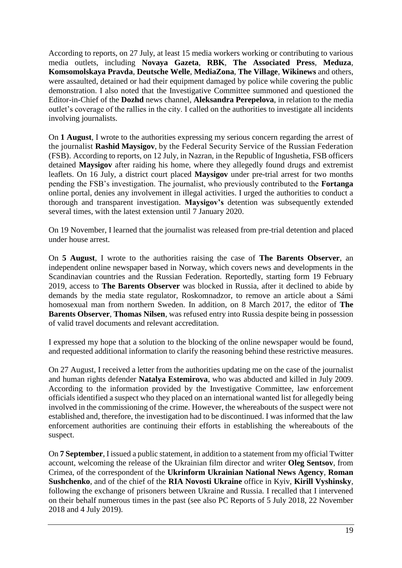According to reports, on 27 July, at least 15 media workers working or contributing to various media outlets, including **Novaya Gazeta**, **RBK**, **The Associated Press**, **Meduza**, **Komsomolskaya Pravda**, **Deutsche Welle**, **MediaZona**, **The Village**, **Wikinews** and others, were assaulted, detained or had their equipment damaged by police while covering the public demonstration. I also noted that the Investigative Committee summoned and questioned the Editor-in-Chief of the **Dozhd** news channel, **Aleksandra Perepelova**, in relation to the media outlet's coverage of the rallies in the city. I called on the authorities to investigate all incidents involving journalists.

On **1 August**, I wrote to the authorities expressing my serious concern regarding the arrest of the journalist **Rashid Maysigov**, by the Federal Security Service of the Russian Federation (FSB). According to reports, on 12 July, in Nazran, in the Republic of Ingushetia, FSB officers detained **Maysigov** after raiding his home, where they allegedly found drugs and extremist leaflets. On 16 July, a district court placed **Maysigov** under pre-trial arrest for two months pending the FSB's investigation. The journalist, who previously contributed to the **Fortanga** online portal, denies any involvement in illegal activities. I urged the authorities to conduct a thorough and transparent investigation. **Maysigov's** detention was subsequently extended several times, with the latest extension until 7 January 2020.

On 19 November, I learned that the journalist was released from pre-trial detention and placed under house arrest.

On **5 August**, I wrote to the authorities raising the case of **The Barents Observer**, an independent online newspaper based in Norway, which covers news and developments in the Scandinavian countries and the Russian Federation. Reportedly, starting form 19 February 2019, access to **The Barents Observer** was blocked in Russia, after it declined to abide by demands by the media state regulator, Roskomnadzor, to remove an article about a Sámi homosexual man from northern Sweden. In addition, on 8 March 2017, the editor of **The Barents Observer**, **Thomas Nilsen**, was refused entry into Russia despite being in possession of valid travel documents and relevant accreditation.

I expressed my hope that a solution to the blocking of the online newspaper would be found, and requested additional information to clarify the reasoning behind these restrictive measures.

On 27 August, I received a letter from the authorities updating me on the case of the journalist and human rights defender **Natalya Estemirova**, who was abducted and killed in July 2009. According to the information provided by the Investigative Committee, law enforcement officials identified a suspect who they placed on an international wanted list for allegedly being involved in the commissioning of the crime. However, the whereabouts of the suspect were not established and, therefore, the investigation had to be discontinued. I was informed that the law enforcement authorities are continuing their efforts in establishing the whereabouts of the suspect.

On **7 September**, I issued a public statement, in addition to a statement from my official Twitter account, welcoming the release of the Ukrainian film director and writer **Oleg Sentsov**, from Crimea, of the correspondent of the **Ukrinform Ukrainian National News Agency**, **Roman Sushchenko**, and of the chief of the **RIA Novosti Ukraine** office in Kyiv, **Kirill Vyshinsky**, following the exchange of prisoners between Ukraine and Russia. I recalled that I intervened on their behalf numerous times in the past (see also PC Reports of 5 July 2018, 22 November 2018 and 4 July 2019).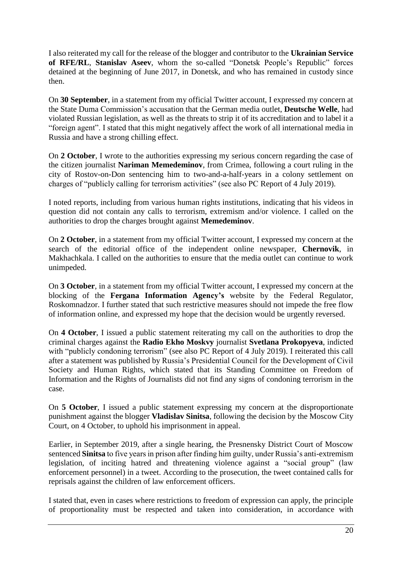I also reiterated my call for the release of the blogger and contributor to the **Ukrainian Service of RFE/RL**, **Stanislav Aseev**, whom the so-called "Donetsk People's Republic" forces detained at the beginning of June 2017, in Donetsk, and who has remained in custody since then.

On **30 September**, in a statement from my official Twitter account, I expressed my concern at the State Duma Commission's accusation that the German media outlet, **Deutsche Welle**, had violated Russian legislation, as well as the threats to strip it of its accreditation and to label it a "foreign agent". I stated that this might negatively affect the work of all international media in Russia and have a strong chilling effect.

On **2 October**, I wrote to the authorities expressing my serious concern regarding the case of the citizen journalist **Nariman Memedeminov**, from Crimea, following a court ruling in the city of Rostov-on-Don sentencing him to two-and-a-half-years in a colony settlement on charges of "publicly calling for terrorism activities" (see also PC Report of 4 July 2019).

I noted reports, including from various human rights institutions, indicating that his videos in question did not contain any calls to terrorism, extremism and/or violence. I called on the authorities to drop the charges brought against **Memedeminov**.

On **2 October**, in a statement from my official Twitter account, I expressed my concern at the search of the editorial office of the independent online newspaper, **Chernovik**, in Makhachkala. I called on the authorities to ensure that the media outlet can continue to work unimpeded.

On **3 October**, in a statement from my official Twitter account, I expressed my concern at the blocking of the **Fergana Information Agency's** website by the Federal Regulator, Roskomnadzor. I further stated that such restrictive measures should not impede the free flow of information online, and expressed my hope that the decision would be urgently reversed.

On **4 October**, I issued a public statement reiterating my call on the authorities to drop the criminal charges against the **Radio Ekho Moskvy** journalist **Svetlana Prokopyeva**, indicted with "publicly condoning terrorism" (see also PC Report of 4 July 2019). I reiterated this call after a statement was published by Russia's Presidential Council for the Development of Civil Society and Human Rights, which stated that its Standing Committee on Freedom of Information and the Rights of Journalists did not find any signs of condoning terrorism in the case.

On **5 October**, I issued a public statement expressing my concern at the disproportionate punishment against the blogger **Vladislav Sinitsa**, following the decision by the Moscow City Court, on 4 October, to uphold his imprisonment in appeal.

Earlier, in September 2019, after a single hearing, the Presnensky District Court of Moscow sentenced **Sinitsa** to five years in prison after finding him guilty, under Russia's anti-extremism legislation, of inciting hatred and threatening violence against a "social group" (law enforcement personnel) in a tweet. According to the prosecution, the tweet contained calls for reprisals against the children of law enforcement officers.

I stated that, even in cases where restrictions to freedom of expression can apply, the principle of proportionality must be respected and taken into consideration, in accordance with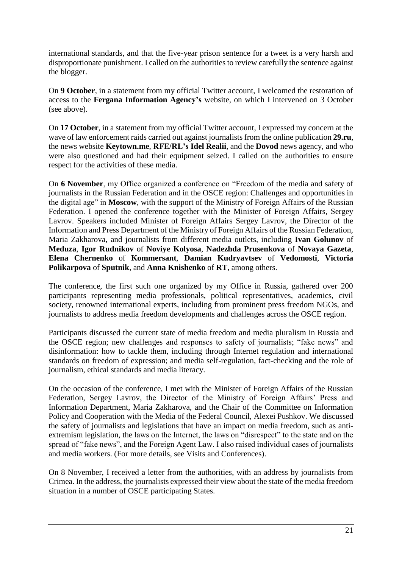international standards, and that the five-year prison sentence for a tweet is a very harsh and disproportionate punishment. I called on the authorities to review carefully the sentence against the blogger.

On **9 October**, in a statement from my official Twitter account, I welcomed the restoration of access to the **Fergana Information Agency's** website, on which I intervened on 3 October (see above).

On **17 October**, in a statement from my official Twitter account, I expressed my concern at the wave of law enforcement raids carried out against journalists from the online publication **29.ru**, the news website **Keytown.me**, **RFE/RL's Idel Realii**, and the **Dovod** news agency, and who were also questioned and had their equipment seized. I called on the authorities to ensure respect for the activities of these media.

On **6 November**, my Office organized a conference on "Freedom of the media and safety of journalists in the Russian Federation and in the OSCE region: Challenges and opportunities in the digital age" in **Moscow**, with the support of the Ministry of Foreign Affairs of the Russian Federation. I opened the conference together with the Minister of Foreign Affairs, Sergey Lavrov. Speakers included Minister of Foreign Affairs Sergey Lavrov, the Director of the Information and Press Department of the Ministry of Foreign Affairs of the Russian Federation, Maria Zakharova, and journalists from different media outlets, including **Ivan Golunov** of **Meduza**, **Igor Rudnikov** of **Noviye Kolyosa**, **Nadezhda Prusenkova** of **Novaya Gazeta**, **Elena Chernenko** of **Kommersant**, **Damian Kudryavtsev** of **Vedomosti**, **Victoria Polikarpova** of **Sputnik**, and **Anna Knishenko** of **RT**, among others.

The conference, the first such one organized by my Office in Russia, gathered over 200 participants representing media professionals, political representatives, academics, civil society, renowned international experts, including from prominent press freedom NGOs, and journalists to address media freedom developments and challenges across the OSCE region.

Participants discussed the current state of media freedom and media pluralism in Russia and the OSCE region; new challenges and responses to safety of journalists; "fake news" and disinformation: how to tackle them, including through Internet regulation and international standards on freedom of expression; and media self-regulation, fact-checking and the role of journalism, ethical standards and media literacy.

On the occasion of the conference, I met with the Minister of Foreign Affairs of the Russian Federation, Sergey Lavrov, the Director of the Ministry of Foreign Affairs' Press and Information Department, Maria Zakharova, and the Chair of the Committee on Information Policy and Cooperation with the Media of the Federal Council, Alexei Pushkov. We discussed the safety of journalists and legislations that have an impact on media freedom, such as antiextremism legislation, the laws on the Internet, the laws on "disrespect" to the state and on the spread of "fake news", and the Foreign Agent Law. I also raised individual cases of journalists and media workers. (For more details, see Visits and Conferences).

On 8 November, I received a letter from the authorities, with an address by journalists from Crimea. In the address, the journalists expressed their view about the state of the media freedom situation in a number of OSCE participating States.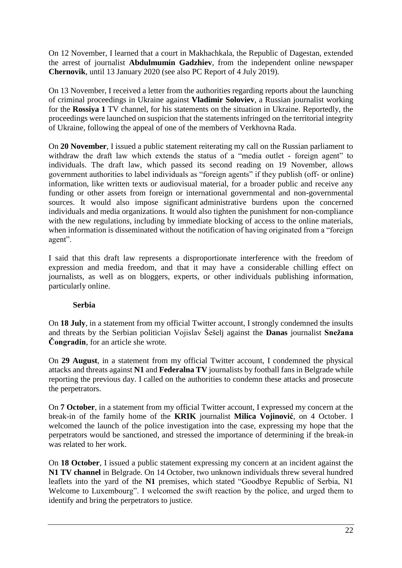On 12 November, I learned that a court in Makhachkala, the Republic of Dagestan, extended the arrest of journalist **Abdulmumin Gadzhiev**, from the independent online newspaper **Chernovik**, until 13 January 2020 (see also PC Report of 4 July 2019).

On 13 November, I received a letter from the authorities regarding reports about the launching of criminal proceedings in Ukraine against **Vladimir Soloviev**, a Russian journalist working for the **Rossiya 1** TV channel, for his statements on the situation in Ukraine. Reportedly, the proceedings were launched on suspicion that the statements infringed on the territorial integrity of Ukraine, following the appeal of one of the members of Verkhovna Rada.

On **20 November**, I issued a public statement reiterating my call on the Russian parliament to withdraw the draft law which extends the status of a "media outlet - foreign agent" to individuals. The draft law, which passed its second reading on 19 November, allows government authorities to label individuals as "foreign agents" if they publish (off- or online) information, like written texts or audiovisual material, for a broader public and receive any funding or other assets from foreign or international governmental and non-governmental sources. It would also impose significant administrative burdens upon the concerned individuals and media organizations. It would also tighten the punishment for non-compliance with the new regulations, including by immediate blocking of access to the online materials, when information is disseminated without the notification of having originated from a "foreign agent".

I said that this draft law represents a disproportionate interference with the freedom of expression and media freedom, and that it may have a considerable chilling effect on journalists, as well as on bloggers, experts, or other individuals publishing information, particularly online.

#### **Serbia**

On **18 July**, in a statement from my official Twitter account, I strongly condemned the insults and threats by the Serbian politician Vojislav Šešelj against the **Danas** journalist **Snežana Čongradin**, for an article she wrote.

On **29 August**, in a statement from my official Twitter account, I condemned the physical attacks and threats against **N1** and **Federalna TV** journalists by football fans in Belgrade while reporting the previous day. I called on the authorities to condemn these attacks and prosecute the perpetrators.

On **7 October**, in a statement from my official Twitter account, I expressed my concern at the break-in of the family home of the **KRIK** journalist **Milica Vojinović**, on 4 October. I welcomed the launch of the police investigation into the case, expressing my hope that the perpetrators would be sanctioned, and stressed the importance of determining if the break-in was related to her work.

On **18 October**, I issued a public statement expressing my concern at an incident against the **N1 TV channel** in Belgrade. On 14 October, two unknown individuals threw several hundred leaflets into the yard of the **N1** premises, which stated "Goodbye Republic of Serbia, N1 Welcome to Luxembourg". I welcomed the swift reaction by the police, and urged them to identify and bring the perpetrators to justice.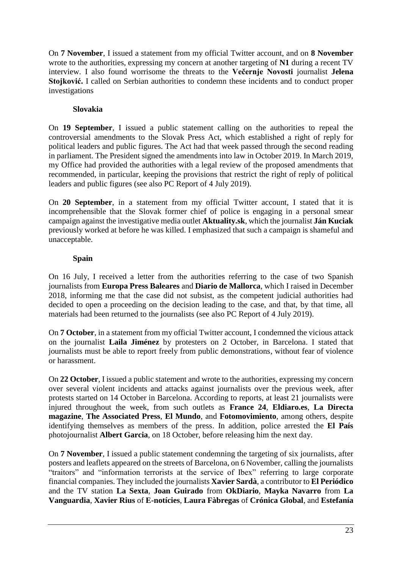On **7 November**, I issued a statement from my official Twitter account, and on **8 November** wrote to the authorities, expressing my concern at another targeting of **N1** during a recent TV interview. I also found worrisome the threats to the **Večernje Novosti** journalist **Jelena Stojković.** I called on Serbian authorities to condemn these incidents and to conduct proper investigations

### **Slovakia**

On **19 September**, I issued a public statement calling on the authorities to repeal the controversial amendments to the Slovak Press Act, which established a right of reply for political leaders and public figures. The Act had that week passed through the second reading in parliament. The President signed the amendments into law in October 2019. In March 2019, my Office had provided the authorities with a legal review of the proposed amendments that recommended, in particular, keeping the provisions that restrict the right of reply of political leaders and public figures (see also PC Report of 4 July 2019).

On **20 September**, in a statement from my official Twitter account, I stated that it is incomprehensible that the Slovak former chief of police is engaging in a personal smear campaign against the investigative media outlet **Aktuality.sk**, which the journalist **Ján Kuciak** previously worked at before he was killed. I emphasized that such a campaign is shameful and unacceptable.

# **Spain**

On 16 July, I received a letter from the authorities referring to the case of two Spanish journalists from **Europa Press Baleares** and **Diario de Mallorca**, which I raised in December 2018, informing me that the case did not subsist, as the competent judicial authorities had decided to open a proceeding on the decision leading to the case, and that, by that time, all materials had been returned to the journalists (see also PC Report of 4 July 2019).

On **7 October**, in a statement from my official Twitter account, I condemned the vicious attack on the journalist **Laila Jiménez** by protesters on 2 October, in Barcelona. I stated that journalists must be able to report freely from public demonstrations, without fear of violence or harassment.

On **22 October**, I issued a public statement and wrote to the authorities, expressing my concern over several violent incidents and attacks against journalists over the previous week, after protests started on 14 October in Barcelona. According to reports, at least 21 journalists were injured throughout the week, from such outlets as **France 24**, **Eldiaro.es**, **La Directa magazine**, **The Associated Press**, **El Mundo**, and **Fotomovimiento**, among others, despite identifying themselves as members of the press. In addition, police arrested the **El País** photojournalist **Albert Garcia**, on 18 October, before releasing him the next day.

On **7 November**, I issued a public statement condemning the targeting of six journalists, after posters and leaflets appeared on the streets of Barcelona, on 6 November, calling the journalists "traitors" and "information terrorists at the service of Ibex" referring to large corporate financial companies. They included the journalists **Xavier Sardà**, a contributor to **El Periódico** and the TV station **La Sexta**, **Joan Guirado** from **OkDiario**, **Mayka Navarro** from **La Vanguardia**, **Xavier Rius** of **E-notícies**, **Laura Fàbregas** of **Crónica Global**, and **Estefanía**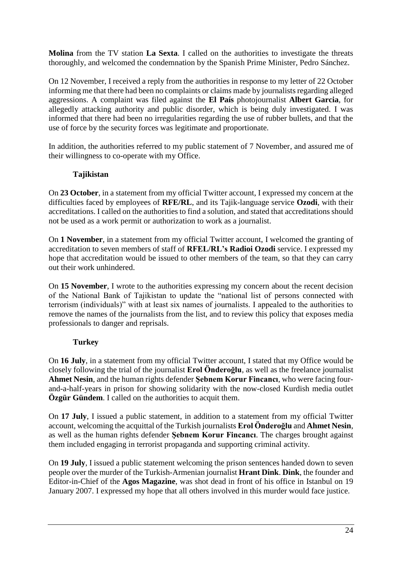**Molina** from the TV station **La Sexta**. I called on the authorities to investigate the threats thoroughly, and welcomed the condemnation by the Spanish Prime Minister, Pedro Sánchez.

On 12 November, I received a reply from the authorities in response to my letter of 22 October informing me that there had been no complaints or claims made by journalists regarding alleged aggressions. A complaint was filed against the **El País** photojournalist **Albert Garcia**, for allegedly attacking authority and public disorder, which is being duly investigated. I was informed that there had been no irregularities regarding the use of rubber bullets, and that the use of force by the security forces was legitimate and proportionate.

In addition, the authorities referred to my public statement of 7 November, and assured me of their willingness to co-operate with my Office.

# **Tajikistan**

On **23 October**, in a statement from my official Twitter account, I expressed my concern at the difficulties faced by employees of **RFE/RL**, and its Tajik-language service **Ozodi**, with their accreditations. I called on the authorities to find a solution, and stated that accreditations should not be used as a work permit or authorization to work as a journalist.

On **1 November**, in a statement from my official Twitter account, I welcomed the granting of accreditation to seven members of staff of **RFEL/RL's Radioi Ozodi** service. I expressed my hope that accreditation would be issued to other members of the team, so that they can carry out their work unhindered.

On **15 November**, I wrote to the authorities expressing my concern about the recent decision of the National Bank of Tajikistan to update the "national list of persons connected with terrorism (individuals)" with at least six names of journalists. I appealed to the authorities to remove the names of the journalists from the list, and to review this policy that exposes media professionals to danger and reprisals.

#### **Turkey**

On **16 July**, in a statement from my official Twitter account, I stated that my Office would be closely following the trial of the journalist **Erol Önderoğlu**, as well as the freelance journalist **Ahmet Nesin**, and the human rights defender **Şebnem Korur Fincancı**, who were facing fourand-a-half-years in prison for showing solidarity with the now-closed Kurdish media outlet **Özgür Gündem**. I called on the authorities to acquit them.

On **17 July**, I issued a public statement, in addition to a statement from my official Twitter account, welcoming the acquittal of the Turkish journalists **Erol Önderoğlu** and **Ahmet Nesin**, as well as the human rights defender **Şebnem Korur Fincancı**. The charges brought against them included engaging in terrorist propaganda and supporting criminal activity.

On **19 July**, I issued a public statement welcoming the prison sentences handed down to seven people over the murder of the Turkish-Armenian journalist **Hrant Dink**. **Dink**, the founder and Editor-in-Chief of the **Agos Magazine**, was shot dead in front of his office in Istanbul on 19 January 2007. I expressed my hope that all others involved in this murder would face justice.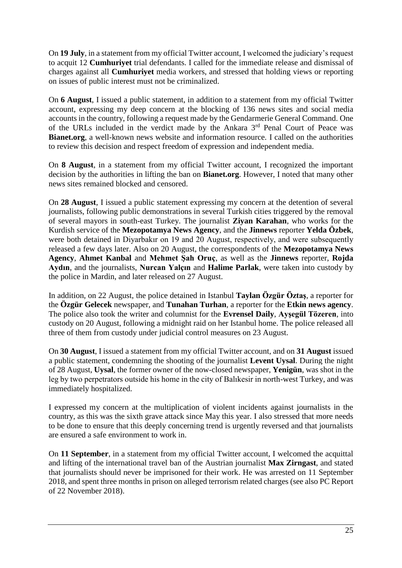On **19 July**, in a statement from my official Twitter account, I welcomed the judiciary's request to acquit 12 **Cumhuriyet** trial defendants. I called for the immediate release and dismissal of charges against all **Cumhuriyet** media workers, and stressed that holding views or reporting on issues of public interest must not be criminalized.

On **6 August**, I issued a public statement, in addition to a statement from my official Twitter account, expressing my deep concern at the blocking of 136 news sites and social media accounts in the country, following a request made by the Gendarmerie General Command. One of the URLs included in the verdict made by the Ankara 3<sup>rd</sup> Penal Court of Peace was **Bianet.org**, a well-known news website and information resource. I called on the authorities to review this decision and respect freedom of expression and independent media.

On **8 August**, in a statement from my official Twitter account, I recognized the important decision by the authorities in lifting the ban on **Bianet.org**. However, I noted that many other news sites remained blocked and censored.

On **28 August**, I issued a public statement expressing my concern at the detention of several journalists, following public demonstrations in several Turkish cities triggered by the removal of several mayors in south-east Turkey. The journalist **Ziyan Karahan**, who works for the Kurdish service of the **Mezopotamya News Agency**, and the **Jinnews** reporter **Yelda Özbek**, were both detained in Diyarbakır on 19 and 20 August, respectively, and were subsequently released a few days later. Also on 20 August, the correspondents of the **Mezopotamya News Agency**, **Ahmet Kanbal** and **Mehmet Şah Oruç**, as well as the **Jinnews** reporter, **Rojda Aydın**, and the journalists, **Nurcan Yalçın** and **Halime Parlak**, were taken into custody by the police in Mardin, and later released on 27 August.

In addition, on 22 August, the police detained in Istanbul **Taylan Özgür Öztaş**, a reporter for the **Özgür Gelecek** newspaper, and **Tunahan Turhan**, a reporter for the **Etkin news agency**. The police also took the writer and columnist for the **Evrensel Daily**, **Ayşegül Tözeren**, into custody on 20 August, following a midnight raid on her Istanbul home. The police released all three of them from custody under judicial control measures on 23 August.

On **30 August**, I issued a statement from my official Twitter account, and on **31 August** issued a public statement, condemning the shooting of the journalist **Levent Uysal**. During the night of 28 August, **Uysal**, the former owner of the now-closed newspaper, **Yenigün**, was shot in the leg by two perpetrators outside his home in the city of Balıkesir in north-west Turkey, and was immediately hospitalized.

I expressed my concern at the multiplication of violent incidents against journalists in the country, as this was the sixth grave attack since May this year. I also stressed that more needs to be done to ensure that this deeply concerning trend is urgently reversed and that journalists are ensured a safe environment to work in.

On **11 September**, in a statement from my official Twitter account, I welcomed the acquittal and lifting of the international travel ban of the Austrian journalist **Max Zirngast**, and stated that journalists should never be imprisoned for their work. He was arrested on 11 September 2018, and spent three months in prison on alleged terrorism related charges (see also PC Report of 22 November 2018).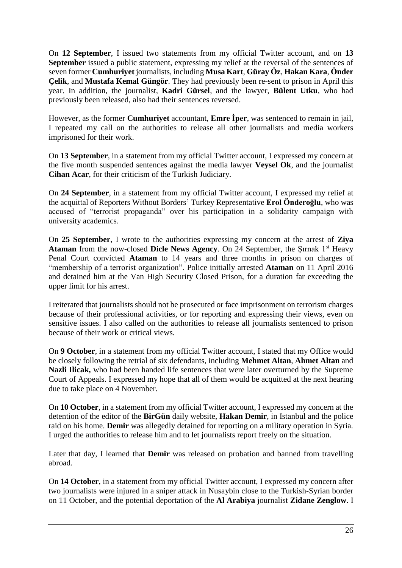On **12 September**, I issued two statements from my official Twitter account, and on **13 September** issued a public statement, expressing my relief at the reversal of the sentences of seven former **Cumhuriyet** journalists, including **Musa Kart**, **Güray Öz**, **Hakan Kara**, **Önder Çelik**, and **Mustafa Kemal Güngör**. They had previously been re-sent to prison in April this year. In addition, the journalist, **Kadri Gürsel**, and the lawyer, **Bülent Utku**, who had previously been released, also had their sentences reversed.

However, as the former **Cumhuriyet** accountant, **Emre İper**, was sentenced to remain in jail, I repeated my call on the authorities to release all other journalists and media workers imprisoned for their work.

On **13 September**, in a statement from my official Twitter account, I expressed my concern at the five month suspended sentences against the media lawyer **Veysel Ok**, and the journalist **Cihan Acar**, for their criticism of the Turkish Judiciary.

On **24 September**, in a statement from my official Twitter account, I expressed my relief at the acquittal of Reporters Without Borders' Turkey Representative **Erol Önderoğlu**, who was accused of "terrorist propaganda" over his participation in a solidarity campaign with university academics.

On **25 September**, I wrote to the authorities expressing my concern at the arrest of **Ziya Ataman** from the now-closed **Dicle News Agency**. On 24 September, the Surnak 1<sup>st</sup> Heavy Penal Court convicted **Ataman** to 14 years and three months in prison on charges of "membership of a terrorist organization". Police initially arrested **Ataman** on 11 April 2016 and detained him at the Van High Security Closed Prison, for a duration far exceeding the upper limit for his arrest.

I reiterated that journalists should not be prosecuted or face imprisonment on terrorism charges because of their professional activities, or for reporting and expressing their views, even on sensitive issues. I also called on the authorities to release all journalists sentenced to prison because of their work or critical views.

On **9 October**, in a statement from my official Twitter account, I stated that my Office would be closely following the retrial of six defendants, including **Mehmet Altan**, **Ahmet Altan** and **Nazli Ilicak,** who had been handed life sentences that were later overturned by the Supreme Court of Appeals. I expressed my hope that all of them would be acquitted at the next hearing due to take place on 4 November.

On **10 October**, in a statement from my official Twitter account, I expressed my concern at the detention of the editor of the **BirGün** daily website, **Hakan Demir**, in Istanbul and the police raid on his home. **Demir** was allegedly detained for reporting on a military operation in Syria. I urged the authorities to release him and to let journalists report freely on the situation.

Later that day, I learned that **Demir** was released on probation and banned from travelling abroad.

On **14 October**, in a statement from my official Twitter account, I expressed my concern after two journalists were injured in a sniper attack in Nusaybin close to the Turkish-Syrian border on 11 October, and the potential deportation of the **Al Arabiya** journalist **Zidane Zenglow**. I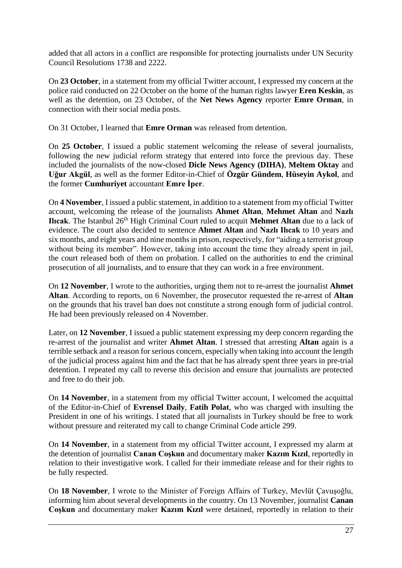added that all actors in a conflict are responsible for protecting journalists under UN Security Council Resolutions 1738 and 2222.

On **23 October**, in a statement from my official Twitter account, I expressed my concern at the police raid conducted on 22 October on the home of the human rights lawyer **Eren Keskin**, as well as the detention, on 23 October, of the **Net News Agency** reporter **Emre Orman**, in connection with their social media posts.

On 31 October, I learned that **Emre Orman** was released from detention.

On **25 October**, I issued a public statement welcoming the release of several journalists, following the new judicial reform strategy that entered into force the previous day. These included the journalists of the now-closed **Dicle News Agency (DIHA)**, **Meltem Oktay** and **Uğur Akgül**, as well as the former Editor-in-Chief of **Özgür Gündem**, **Hüseyin Aykol**, and the former **Cumhuriyet** accountant **Emre İper**.

On **4 November**, I issued a public statement, in addition to a statement from my official Twitter account, welcoming the release of the journalists **Ahmet Altan**, **Mehmet Altan** and **Nazlı Ilicak**. The Istanbul 26<sup>th</sup> High Criminal Court ruled to acquit **Mehmet Altan** due to a lack of evidence. The court also decided to sentence **Ahmet Altan** and **Nazlı Ilıcak** to 10 years and six months, and eight years and nine months in prison, respectively, for "aiding a terrorist group without being its member". However, taking into account the time they already spent in jail, the court released both of them on probation. I called on the authorities to end the criminal prosecution of all journalists, and to ensure that they can work in a free environment.

On **12 November**, I wrote to the authorities, urging them not to re-arrest the journalist **Ahmet Altan**. According to reports, on 6 November, the prosecutor requested the re-arrest of **Altan** on the grounds that his travel ban does not constitute a strong enough form of judicial control. He had been previously released on 4 November.

Later, on **12 November**, I issued a public statement expressing my deep concern regarding the re-arrest of the journalist and writer **Ahmet Altan**. I stressed that arresting **Altan** again is a terrible setback and a reason for serious concern, especially when taking into account the length of the judicial process against him and the fact that he has already spent three years in pre-trial detention. I repeated my call to reverse this decision and ensure that journalists are protected and free to do their job.

On **14 November**, in a statement from my official Twitter account, I welcomed the acquittal of the Editor-in-Chief of **Evrensel Daily**, **Fatih Polat**, who was charged with insulting the President in one of his writings. I stated that all journalists in Turkey should be free to work without pressure and reiterated my call to change Criminal Code article 299.

On **14 November**, in a statement from my official Twitter account, I expressed my alarm at the detention of journalist **Canan Coşkun** and documentary maker **Kazım Kızıl**, reportedly in relation to their investigative work. I called for their immediate release and for their rights to be fully respected.

On **18 November**, I wrote to the Minister of Foreign Affairs of Turkey, Mevlüt Çavuşoğlu, informing him about several developments in the country. On 13 November, journalist **Canan Coşkun** and documentary maker **Kazım Kızıl** were detained, reportedly in relation to their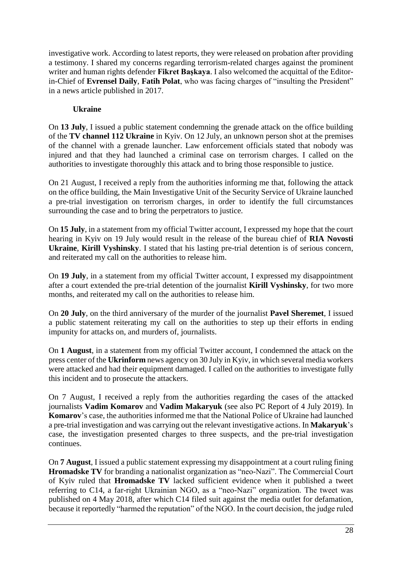investigative work. According to latest reports, they were released on probation after providing a testimony. I shared my concerns regarding terrorism-related charges against the prominent writer and human rights defender **Fikret Başkaya**. I also welcomed the acquittal of the Editorin-Chief of **Evrensel Daily**, **Fatih Polat**, who was facing charges of "insulting the President" in a news article published in 2017.

# **Ukraine**

On **13 July**, I issued a public statement condemning the grenade attack on the office building of the **TV channel 112 Ukraine** in Kyiv. On 12 July, an unknown person shot at the premises of the channel with a grenade launcher. Law enforcement officials stated that nobody was injured and that they had launched a criminal case on terrorism charges. I called on the authorities to investigate thoroughly this attack and to bring those responsible to justice.

On 21 August, I received a reply from the authorities informing me that, following the attack on the office building, the Main Investigative Unit of the Security Service of Ukraine launched a pre-trial investigation on terrorism charges, in order to identify the full circumstances surrounding the case and to bring the perpetrators to justice.

On **15 July**, in a statement from my official Twitter account, I expressed my hope that the court hearing in Kyiv on 19 July would result in the release of the bureau chief of **RIA Novosti Ukraine**, **Kirill Vyshinsky**. I stated that his lasting pre-trial detention is of serious concern, and reiterated my call on the authorities to release him.

On **19 July**, in a statement from my official Twitter account, I expressed my disappointment after a court extended the pre-trial detention of the journalist **Kirill Vyshinsky**, for two more months, and reiterated my call on the authorities to release him.

On **20 July**, on the third anniversary of the murder of the journalist **Pavel Sheremet**, I issued a public statement reiterating my call on the authorities to step up their efforts in ending impunity for attacks on, and murders of, journalists.

On **1 August**, in a statement from my official Twitter account, I condemned the attack on the press center of the **Ukrinform** news agency on 30 July in Kyiv, in which several media workers were attacked and had their equipment damaged. I called on the authorities to investigate fully this incident and to prosecute the attackers.

On 7 August, I received a reply from the authorities regarding the cases of the attacked journalists **Vadim Komarov** and **Vadim Makaryuk** (see also PC Report of 4 July 2019). In **Komarov**'s case, the authorities informed me that the National Police of Ukraine had launched a pre-trial investigation and was carrying out the relevant investigative actions. In **Makaryuk**'s case, the investigation presented charges to three suspects, and the pre-trial investigation continues.

On **7 August**, I issued a public statement expressing my disappointment at a court ruling fining **Hromadske TV** for branding a nationalist organization as "neo-Nazi". The Commercial Court of Kyiv ruled that **Hromadske TV** lacked sufficient evidence when it published a tweet referring to C14, a far-right Ukrainian NGO, as a "neo-Nazi" organization. The tweet was published on 4 May 2018, after which C14 filed suit against the media outlet for defamation, because it reportedly "harmed the reputation" of the NGO. In the court decision, the judge ruled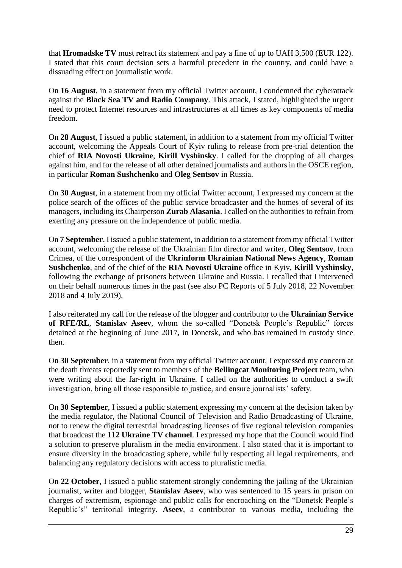that **Hromadske TV** must retract its statement and pay a fine of up to UAH 3,500 (EUR 122). I stated that this court decision sets a harmful precedent in the country, and could have a dissuading effect on journalistic work.

On **16 August**, in a statement from my official Twitter account, I condemned the cyberattack against the **Black Sea TV and Radio Company**. This attack, I stated, highlighted the urgent need to protect Internet resources and infrastructures at all times as key components of media freedom.

On **28 August**, I issued a public statement, in addition to a statement from my official Twitter account, welcoming the Appeals Court of Kyiv ruling to release from pre-trial detention the chief of **RIA Novosti Ukraine**, **Kirill Vyshinsky**. I called for the dropping of all charges against him, and for the release of all other detained journalists and authors in the OSCE region, in particular **Roman Sushchenko** and **Oleg Sentsov** in Russia.

On **30 August**, in a statement from my official Twitter account, I expressed my concern at the police search of the offices of the public service broadcaster and the homes of several of its managers, including its Chairperson **Zurab Alasania**. I called on the authorities to refrain from exerting any pressure on the independence of public media.

On **7 September**, I issued a public statement, in addition to a statement from my official Twitter account, welcoming the release of the Ukrainian film director and writer, **Oleg Sentsov**, from Crimea, of the correspondent of the **Ukrinform Ukrainian National News Agency**, **Roman Sushchenko**, and of the chief of the **RIA Novosti Ukraine** office in Kyiv, **Kirill Vyshinsky**, following the exchange of prisoners between Ukraine and Russia. I recalled that I intervened on their behalf numerous times in the past (see also PC Reports of 5 July 2018, 22 November 2018 and 4 July 2019).

I also reiterated my call for the release of the blogger and contributor to the **Ukrainian Service of RFE/RL**, **Stanislav Aseev**, whom the so-called "Donetsk People's Republic" forces detained at the beginning of June 2017, in Donetsk, and who has remained in custody since then.

On **30 September**, in a statement from my official Twitter account, I expressed my concern at the death threats reportedly sent to members of the **Bellingcat Monitoring Project** team, who were writing about the far-right in Ukraine. I called on the authorities to conduct a swift investigation, bring all those responsible to justice, and ensure journalists' safety.

On **30 September**, I issued a public statement expressing my concern at the decision taken by the media regulator, the National Council of Television and Radio Broadcasting of Ukraine, not to renew the digital terrestrial broadcasting licenses of five regional television companies that broadcast the **112 Ukraine TV channel**. I expressed my hope that the Council would find a solution to preserve pluralism in the media environment. I also stated that it is important to ensure diversity in the broadcasting sphere, while fully respecting all legal requirements, and balancing any regulatory decisions with access to pluralistic media.

On **22 October**, I issued a public statement strongly condemning the jailing of the Ukrainian journalist, writer and blogger, **Stanislav Aseev**, who was sentenced to 15 years in prison on charges of extremism, espionage and public calls for encroaching on the "Donetsk People's Republic's" territorial integrity. **Aseev**, a contributor to various media, including the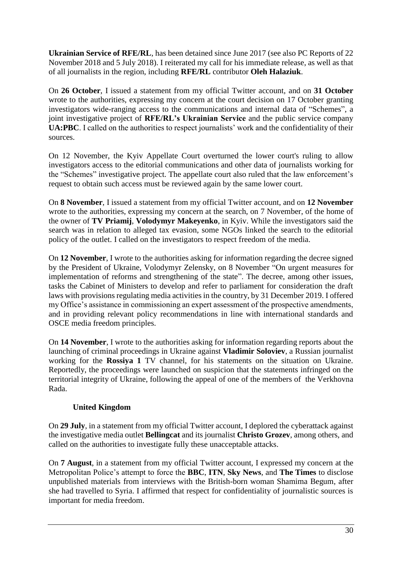**Ukrainian Service of RFE/RL**, has been detained since June 2017 (see also PC Reports of 22 November 2018 and 5 July 2018). I reiterated my call for his immediate release, as well as that of all journalists in the region, including **RFE/RL** contributor **Oleh Halaziuk**.

On **26 October**, I issued a statement from my official Twitter account, and on **31 October** wrote to the authorities, expressing my concern at the court decision on 17 October granting investigators wide-ranging access to the communications and internal data of "Schemes", a joint investigative project of **RFE/RL's Ukrainian Service** and the public service company **UA:PBC**. I called on the authorities to respect journalists' work and the confidentiality of their sources.

On 12 November, the Kyiv Appellate Court overturned the lower court's ruling to allow investigators access to the editorial communications and other data of journalists working for the "Schemes" investigative project. The appellate court also ruled that the law enforcement's request to obtain such access must be reviewed again by the same lower court.

On **8 November**, I issued a statement from my official Twitter account, and on **12 November** wrote to the authorities, expressing my concern at the search, on 7 November, of the home of the owner of **TV Priamij**, **Volodymyr Makeyenko**, in Kyiv. While the investigators said the search was in relation to alleged tax evasion, some NGOs linked the search to the editorial policy of the outlet. I called on the investigators to respect freedom of the media.

On **12 November**, I wrote to the authorities asking for information regarding the decree signed by the President of Ukraine, Volodymyr Zelensky, on 8 November "On urgent measures for implementation of reforms and strengthening of the state". The decree, among other issues, tasks the Cabinet of Ministers to develop and refer to parliament for consideration the draft laws with provisions regulating media activities in the country, by 31 December 2019. I offered my Office's assistance in commissioning an expert assessment of the prospective amendments, and in providing relevant policy recommendations in line with international standards and OSCE media freedom principles.

On **14 November**, I wrote to the authorities asking for information regarding reports about the launching of criminal proceedings in Ukraine against **Vladimir Soloviev**, a Russian journalist working for the **Rossiya 1** TV channel, for his statements on the situation on Ukraine. Reportedly, the proceedings were launched on suspicion that the statements infringed on the territorial integrity of Ukraine, following the appeal of one of the members of the Verkhovna Rada.

# **United Kingdom**

On **29 July**, in a statement from my official Twitter account, I deplored the cyberattack against the investigative media outlet **Bellingcat** and its journalist **Christo Grozev**, among others, and called on the authorities to investigate fully these unacceptable attacks.

On **7 August**, in a statement from my official Twitter account, I expressed my concern at the Metropolitan Police's attempt to force the **BBC**, **ITN**, **Sky News**, and **The Times** to disclose unpublished materials from interviews with the British-born woman Shamima Begum, after she had travelled to Syria. I affirmed that respect for confidentiality of journalistic sources is important for media freedom.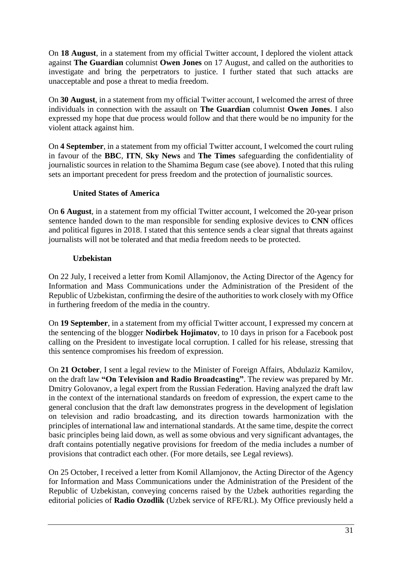On **18 August**, in a statement from my official Twitter account, I deplored the violent attack against **The Guardian** columnist **Owen Jones** on 17 August, and called on the authorities to investigate and bring the perpetrators to justice. I further stated that such attacks are unacceptable and pose a threat to media freedom.

On **30 August**, in a statement from my official Twitter account, I welcomed the arrest of three individuals in connection with the assault on **The Guardian** columnist **Owen Jones**. I also expressed my hope that due process would follow and that there would be no impunity for the violent attack against him.

On **4 September**, in a statement from my official Twitter account, I welcomed the court ruling in favour of the **BBC**, **ITN**, **Sky News** and **The Times** safeguarding the confidentiality of journalistic sources in relation to the Shamima Begum case (see above). I noted that this ruling sets an important precedent for press freedom and the protection of journalistic sources.

# **United States of America**

On **6 August**, in a statement from my official Twitter account, I welcomed the 20-year prison sentence handed down to the man responsible for sending explosive devices to **CNN** offices and political figures in 2018. I stated that this sentence sends a clear signal that threats against journalists will not be tolerated and that media freedom needs to be protected.

### **Uzbekistan**

On 22 July, I received a letter from Komil Allamjonov, the Acting Director of the Agency for Information and Mass Communications under the Administration of the President of the Republic of Uzbekistan, confirming the desire of the authorities to work closely with my Office in furthering freedom of the media in the country.

On **19 September**, in a statement from my official Twitter account, I expressed my concern at the sentencing of the blogger **Nodirbek Hojimatov**, to 10 days in prison for a Facebook post calling on the President to investigate local corruption. I called for his release, stressing that this sentence compromises his freedom of expression.

On **21 October**, I sent a legal review to the Minister of Foreign Affairs, Abdulaziz Kamilov, on the draft law **"On Television and Radio Broadcasting"**. The review was prepared by Mr. Dmitry Golovanov, a legal expert from the Russian Federation. Having analyzed the draft law in the context of the international standards on freedom of expression, the expert came to the general conclusion that the draft law demonstrates progress in the development of legislation on television and radio broadcasting, and its direction towards harmonization with the principles of international law and international standards. At the same time, despite the correct basic principles being laid down, as well as some obvious and very significant advantages, the draft contains potentially negative provisions for freedom of the media includes a number of provisions that contradict each other. (For more details, see Legal reviews).

On 25 October, I received a letter from Komil Allamjonov, the Acting Director of the Agency for Information and Mass Communications under the Administration of the President of the Republic of Uzbekistan, conveying concerns raised by the Uzbek authorities regarding the editorial policies of **Radio Ozodlik** (Uzbek service of RFE/RL). My Office previously held a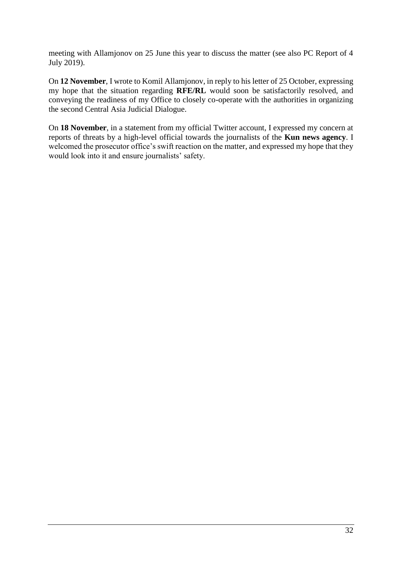meeting with Allamjonov on 25 June this year to discuss the matter (see also PC Report of 4 July 2019).

On **12 November**, I wrote to Komil Allamjonov, in reply to his letter of 25 October, expressing my hope that the situation regarding **RFE/RL** would soon be satisfactorily resolved, and conveying the readiness of my Office to closely co-operate with the authorities in organizing the second Central Asia Judicial Dialogue.

On **18 November**, in a statement from my official Twitter account, I expressed my concern at reports of threats by a high-level official towards the journalists of the **Kun news agency**. I welcomed the prosecutor office's swift reaction on the matter, and expressed my hope that they would look into it and ensure journalists' safety.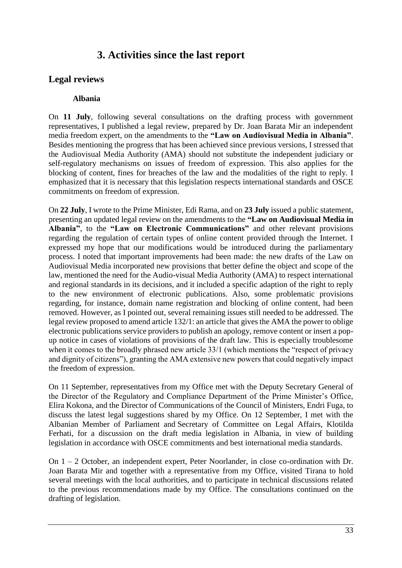# **3. Activities since the last report**

# **Legal reviews**

#### **Albania**

On **11 July**, following several consultations on the drafting process with government representatives, I published a legal review, prepared by Dr. Joan Barata Mir an independent media freedom expert, on the amendments to the **"Law on Audiovisual Media in Albania"**. Besides mentioning the progress that has been achieved since previous versions, I stressed that the Audiovisual Media Authority (AMA) should not substitute the independent judiciary or self-regulatory mechanisms on issues of freedom of expression. This also applies for the blocking of content, fines for breaches of the law and the modalities of the right to reply. I emphasized that it is necessary that this legislation respects international standards and OSCE commitments on freedom of expression.

On **22 July**, I wrote to the Prime Minister, Edi Rama, and on **23 July** issued a public statement, presenting an updated legal review on the amendments to the **"Law on Audiovisual Media in Albania"**, to the **"Law on Electronic Communications"** and other relevant provisions regarding the regulation of certain types of online content provided through the Internet. I expressed my hope that our modifications would be introduced during the parliamentary process. I noted that important improvements had been made: the new drafts of the Law on Audiovisual Media incorporated new provisions that better define the object and scope of the law, mentioned the need for the Audio-visual Media Authority (AMA) to respect international and regional standards in its decisions, and it included a specific adaption of the right to reply to the new environment of electronic publications. Also, some problematic provisions regarding, for instance, domain name registration and blocking of online content, had been removed. However, as I pointed out, several remaining issues still needed to be addressed. The legal review proposed to amend article 132/1: an article that gives the AMA the power to oblige electronic publications service providers to publish an apology, remove content or insert a popup notice in cases of violations of provisions of the draft law. This is especially troublesome when it comes to the broadly phrased new article 33/1 (which mentions the "respect of privacy and dignity of citizens"), granting the AMA extensive new powers that could negatively impact the freedom of expression.

On 11 September, representatives from my Office met with the Deputy Secretary General of the Director of the Regulatory and Compliance Department of the Prime Minister's Office, Elira Kokona, and the Director of Communications of the Council of Ministers, Endri Fuga, to discuss the latest legal suggestions shared by my Office. On 12 September, I met with the Albanian Member of Parliament and Secretary of Committee on Legal Affairs, Klotilda Ferhati, for a discussion on the draft media legislation in Albania, in view of building legislation in accordance with OSCE commitments and best international media standards.

On  $1 - 2$  October, an independent expert, Peter Noorlander, in close co-ordination with Dr. Joan Barata Mir and together with a representative from my Office, visited Tirana to hold several meetings with the local authorities, and to participate in technical discussions related to the previous recommendations made by my Office. The consultations continued on the drafting of legislation.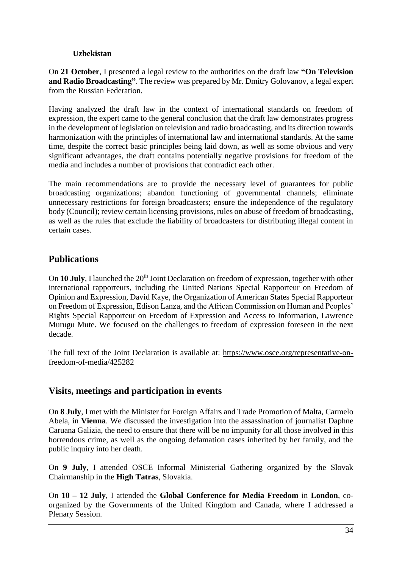### **Uzbekistan**

On **21 October**, I presented a legal review to the authorities on the draft law **"On Television and Radio Broadcasting"**. The review was prepared by Mr. Dmitry Golovanov, a legal expert from the Russian Federation.

Having analyzed the draft law in the context of international standards on freedom of expression, the expert came to the general conclusion that the draft law demonstrates progress in the development of legislation on television and radio broadcasting, and its direction towards harmonization with the principles of international law and international standards. At the same time, despite the correct basic principles being laid down, as well as some obvious and very significant advantages, the draft contains potentially negative provisions for freedom of the media and includes a number of provisions that contradict each other.

The main recommendations are to provide the necessary level of guarantees for public broadcasting organizations; abandon functioning of governmental channels; eliminate unnecessary restrictions for foreign broadcasters; ensure the independence of the regulatory body (Council); review certain licensing provisions, rules on abuse of freedom of broadcasting, as well as the rules that exclude the liability of broadcasters for distributing illegal content in certain cases.

# **Publications**

On 10 July, I launched the 20<sup>th</sup> Joint Declaration on freedom of expression, together with other international rapporteurs, including the United Nations Special Rapporteur on Freedom of Opinion and Expression, David Kaye, the Organization of American States Special Rapporteur on Freedom of Expression, Edison Lanza, and the African Commission on Human and Peoples' Rights Special Rapporteur on Freedom of Expression and Access to Information, Lawrence Murugu Mute. We focused on the challenges to freedom of expression foreseen in the next decade.

The full text of the Joint Declaration is available at: [https://www.osce.org/representative-on](https://www.osce.org/representative-on-freedom-of-media/425282)[freedom-of-media/425282](https://www.osce.org/representative-on-freedom-of-media/425282)

# **Visits, meetings and participation in events**

On **8 July**, I met with the Minister for Foreign Affairs and Trade Promotion of Malta, Carmelo Abela, in **Vienna**. We discussed the investigation into the assassination of journalist Daphne Caruana Galizia, the need to ensure that there will be no impunity for all those involved in this horrendous crime, as well as the ongoing defamation cases inherited by her family, and the public inquiry into her death.

On **9 July**, I attended OSCE Informal Ministerial Gathering organized by the Slovak Chairmanship in the **High Tatras**, Slovakia.

On **10 – 12 July**, I attended the **Global Conference for Media Freedom** in **London**, coorganized by the Governments of the United Kingdom and Canada, where I addressed a Plenary Session.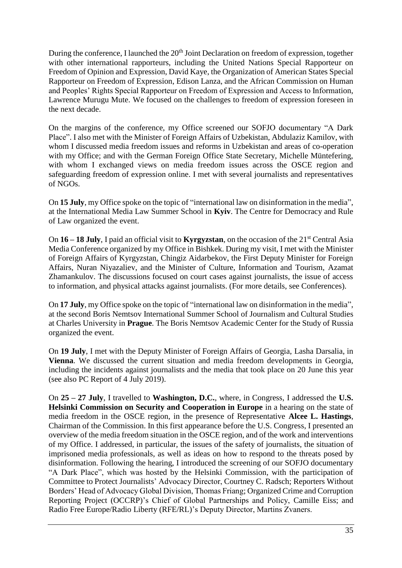During the conference, I launched the 20<sup>th</sup> Joint Declaration on freedom of expression, together with other international rapporteurs, including the United Nations Special Rapporteur on Freedom of Opinion and Expression, David Kaye, the Organization of American States Special Rapporteur on Freedom of Expression, Edison Lanza, and the African Commission on Human and Peoples' Rights Special Rapporteur on Freedom of Expression and Access to Information, Lawrence Murugu Mute. We focused on the challenges to freedom of expression foreseen in the next decade.

On the margins of the conference, my Office screened our SOFJO documentary "A Dark Place". I also met with the Minister of Foreign Affairs of Uzbekistan, Abdulaziz Kamilov, with whom I discussed media freedom issues and reforms in Uzbekistan and areas of co-operation with my Office; and with the German Foreign Office State Secretary, Michelle Müntefering, with whom I exchanged views on media freedom issues across the OSCE region and safeguarding freedom of expression online. I met with several journalists and representatives of NGOs.

On **15 July**, my Office spoke on the topic of "international law on disinformation in the media", at the International Media Law Summer School in **Kyiv**. The Centre for Democracy and Rule of Law organized the event.

On  $16 - 18$  July, I paid an official visit to **Kyrgyzstan**, on the occasion of the  $21<sup>st</sup>$  Central Asia Media Conference organized by my Office in Bishkek. During my visit, I met with the Minister of Foreign Affairs of Kyrgyzstan, Chingiz Aidarbekov, the First Deputy Minister for Foreign Affairs, Nuran Niyazaliev, and the Minister of Culture, Information and Tourism, Azamat Zhamankulov. The discussions focused on court cases against journalists, the issue of access to information, and physical attacks against journalists. (For more details, see Conferences).

On **17 July**, my Office spoke on the topic of "international law on disinformation in the media", at the second Boris Nemtsov International Summer School of Journalism and Cultural Studies at Charles University in **Prague**. The Boris Nemtsov Academic Center for the Study of Russia organized the event.

On **19 July**, I met with the Deputy Minister of Foreign Affairs of Georgia, Lasha Darsalia, in **Vienna**. We discussed the current situation and media freedom developments in Georgia, including the incidents against journalists and the media that took place on 20 June this year (see also PC Report of 4 July 2019).

On **25 – 27 July**, I travelled to **Washington, D.C.**, where, in Congress, I addressed the **U.S. Helsinki Commission on Security and Cooperation in Europe** in a hearing on the state of media freedom in the OSCE region, in the presence of Representative **Alcee L. Hastings**, Chairman of the Commission. In this first appearance before the U.S. Congress, I presented an overview of the media freedom situation in the OSCE region, and of the work and interventions of my Office. I addressed, in particular, the issues of the safety of journalists, the situation of imprisoned media professionals, as well as ideas on how to respond to the threats posed by disinformation. Following the hearing, I introduced the screening of our SOFJO documentary "A Dark Place", which was hosted by the Helsinki Commission, with the participation of Committee to Protect Journalists' Advocacy Director, Courtney C. Radsch; Reporters Without Borders' Head of Advocacy Global Division, Thomas Friang; Organized Crime and Corruption Reporting Project (OCCRP)'s Chief of Global Partnerships and Policy, Camille Eiss; and Radio Free Europe/Radio Liberty (RFE/RL)'s Deputy Director, Martins Zvaners.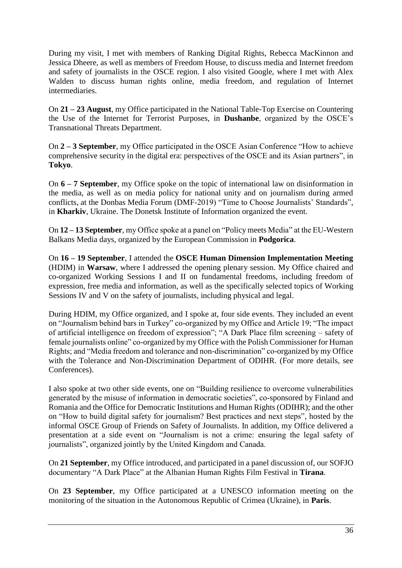During my visit, I met with members of Ranking Digital Rights, Rebecca MacKinnon and Jessica Dheere, as well as members of Freedom House, to discuss media and Internet freedom and safety of journalists in the OSCE region. I also visited Google, where I met with Alex Walden to discuss human rights online, media freedom, and regulation of Internet intermediaries.

On **21 – 23 August**, my Office participated in the National Table-Top Exercise on Countering the Use of the Internet for Terrorist Purposes, in **Dushanbe**, organized by the OSCE's Transnational Threats Department.

On **2 – 3 September**, my Office participated in the OSCE Asian Conference "How to achieve comprehensive security in the digital era: perspectives of the OSCE and its Asian partners", in **Tokyo**.

On **6 – 7 September**, my Office spoke on the topic of international law on disinformation in the media, as well as on media policy for national unity and on journalism during armed conflicts, at the Donbas Media Forum (DMF-2019) "Time to Choose Journalists' Standards", in **Kharkiv**, Ukraine. The Donetsk Institute of Information organized the event.

On **12 – 13 September**, my Office spoke at a panel on "Policy meets Media" at the EU-Western Balkans Media days, organized by the European Commission in **Podgorica**.

On **16 – 19 September**, I attended the **OSCE Human Dimension Implementation Meeting** (HDIM) in **Warsaw**, where I addressed the opening plenary session. My Office chaired and co-organized Working Sessions I and II on fundamental freedoms, including freedom of expression, free media and information, as well as the specifically selected topics of Working Sessions IV and V on the safety of journalists, including physical and legal.

During HDIM, my Office organized, and I spoke at, four side events. They included an event on "Journalism behind bars in Turkey" co-organized by my Office and Article 19; "The impact of artificial intelligence on freedom of expression"; "A Dark Place film screening – safety of female journalists online" co-organized by my Office with the Polish Commissioner for Human Rights; and "Media freedom and tolerance and non-discrimination" co-organized by my Office with the Tolerance and Non-Discrimination Department of ODIHR. (For more details, see Conferences).

I also spoke at two other side events, one on "Building resilience to overcome vulnerabilities generated by the misuse of information in democratic societies", co-sponsored by Finland and Romania and the Office for Democratic Institutions and Human Rights (ODIHR); and the other on "How to build digital safety for journalism? Best practices and next steps", hosted by the informal OSCE Group of Friends on Safety of Journalists. In addition, my Office delivered a presentation at a side event on "Journalism is not a crime: ensuring the legal safety of journalists", organized jointly by the United Kingdom and Canada.

On **21 September**, my Office introduced, and participated in a panel discussion of, our SOFJO documentary "A Dark Place" at the Albanian Human Rights Film Festival in **Tirana**.

On **23 September**, my Office participated at a UNESCO information meeting on the monitoring of the situation in the Autonomous Republic of Crimea (Ukraine), in **Paris**.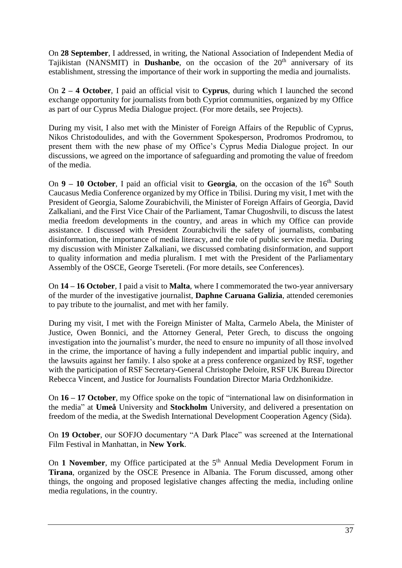On **28 September**, I addressed, in writing, the National Association of Independent Media of Tajikistan (NANSMIT) in **Dushanbe**, on the occasion of the 20<sup>th</sup> anniversary of its establishment, stressing the importance of their work in supporting the media and journalists.

On **2 – 4 October**, I paid an official visit to **Cyprus**, during which I launched the second exchange opportunity for journalists from both Cypriot communities, organized by my Office as part of our Cyprus Media Dialogue project. (For more details, see Projects).

During my visit, I also met with the Minister of Foreign Affairs of the Republic of Cyprus, Nikos Christodoulides, and with the Government Spokesperson, Prodromos Prodromou, to present them with the new phase of my Office's Cyprus Media Dialogue project. In our discussions, we agreed on the importance of safeguarding and promoting the value of freedom of the media.

On  $9 - 10$  October, I paid an official visit to Georgia, on the occasion of the  $16<sup>th</sup>$  South Caucasus Media Conference organized by my Office in Tbilisi. During my visit, I met with the President of Georgia, Salome Zourabichvili, the Minister of Foreign Affairs of Georgia, David Zalkaliani, and the First Vice Chair of the Parliament, Tamar Chugoshvili, to discuss the latest media freedom developments in the country, and areas in which my Office can provide assistance. I discussed with President Zourabichvili the safety of journalists, combating disinformation, the importance of media literacy, and the role of public service media. During my discussion with Minister Zalkaliani, we discussed combating disinformation, and support to quality information and media pluralism. I met with the President of the Parliamentary Assembly of the OSCE, George Tsereteli. (For more details, see Conferences).

On **14 – 16 October**, I paid a visit to **Malta**, where I commemorated the two-year anniversary of the murder of the investigative journalist, **Daphne Caruana Galizia**, attended ceremonies to pay tribute to the journalist, and met with her family.

During my visit, I met with the Foreign Minister of Malta, Carmelo Abela, the Minister of Justice, Owen Bonnici, and the Attorney General, Peter Grech, to discuss the ongoing investigation into the journalist's murder, the need to ensure no impunity of all those involved in the crime, the importance of having a fully independent and impartial public inquiry, and the lawsuits against her family. I also spoke at a press conference organized by RSF, together with the participation of RSF Secretary-General Christophe Deloire, RSF UK Bureau Director Rebecca Vincent, and Justice for Journalists Foundation Director Maria Ordzhonikidze.

On **16 – 17 October**, my Office spoke on the topic of "international law on disinformation in the media" at **Umeå** University and **Stockholm** University, and delivered a presentation on freedom of the media, at the Swedish International Development Cooperation Agency (Sida).

On **19 October**, our SOFJO documentary "A Dark Place" was screened at the International Film Festival in Manhattan, in **New York**.

On 1 November, my Office participated at the 5<sup>th</sup> Annual Media Development Forum in **Tirana**, organized by the OSCE Presence in Albania. The Forum discussed, among other things, the ongoing and proposed legislative changes affecting the media, including online media regulations, in the country.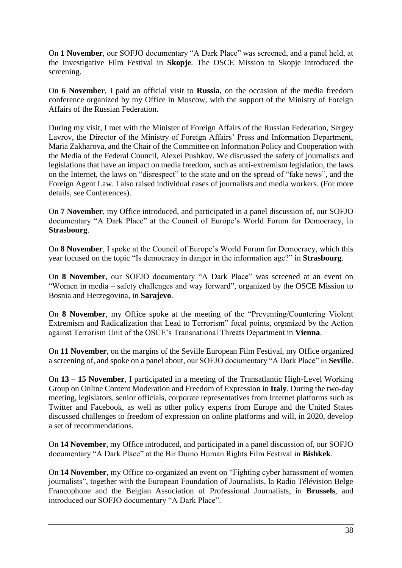On **1 November**, our SOFJO documentary "A Dark Place" was screened, and a panel held, at the Investigative Film Festival in **Skopje**. The OSCE Mission to Skopje introduced the screening.

On **6 November**, I paid an official visit to **Russia**, on the occasion of the media freedom conference organized by my Office in Moscow, with the support of the Ministry of Foreign Affairs of the Russian Federation.

During my visit, I met with the Minister of Foreign Affairs of the Russian Federation, Sergey Lavrov, the Director of the Ministry of Foreign Affairs' Press and Information Department, Maria Zakharova, and the Chair of the Committee on Information Policy and Cooperation with the Media of the Federal Council, Alexei Pushkov. We discussed the safety of journalists and legislations that have an impact on media freedom, such as anti-extremism legislation, the laws on the Internet, the laws on "disrespect" to the state and on the spread of "fake news", and the Foreign Agent Law. I also raised individual cases of journalists and media workers. (For more details, see Conferences).

On **7 November**, my Office introduced, and participated in a panel discussion of, our SOFJO documentary "A Dark Place" at the Council of Europe's World Forum for Democracy, in **Strasbourg**.

On **8 November**, I spoke at the Council of Europe's World Forum for Democracy, which this year focused on the topic "Is democracy in danger in the information age?" in **Strasbourg**.

On **8 November**, our SOFJO documentary "A Dark Place" was screened at an event on "Women in media – safety challenges and way forward", organized by the OSCE Mission to Bosnia and Herzegovina, in **Sarajevo**.

On **8 November**, my Office spoke at the meeting of the "Preventing/Countering Violent Extremism and Radicalization that Lead to Terrorism" focal points, organized by the Action against Terrorism Unit of the OSCE's Transnational Threats Department in **Vienna**.

On **11 November**, on the margins of the Seville European Film Festival, my Office organized a screening of, and spoke on a panel about, our SOFJO documentary "A Dark Place" in **Seville**.

On **13 – 15 November**, I participated in a meeting of the Transatlantic High-Level Working Group on Online Content Moderation and Freedom of Expression in **Italy**. During the two-day meeting, legislators, senior officials, corporate representatives from Internet platforms such as Twitter and Facebook, as well as other policy experts from Europe and the United States discussed challenges to freedom of expression on online platforms and will, in 2020, develop a set of recommendations.

On **14 November**, my Office introduced, and participated in a panel discussion of, our SOFJO documentary "A Dark Place" at the Bir Duino Human Rights Film Festival in **Bishkek**.

On **14 November**, my Office co-organized an event on "Fighting cyber harassment of women journalists", together with the European Foundation of Journalists, [la Radio Télévision Belge](https://www.rtbf.be/)  [Francophone](https://www.rtbf.be/) and the Belgian Association of Professional Journalists, in **Brussels**, and introduced our SOFJO documentary "A Dark Place".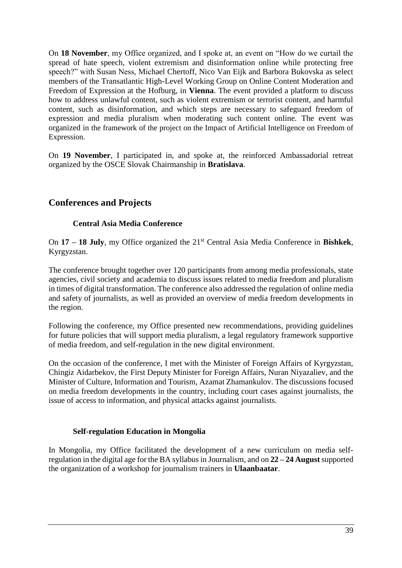On **18 November**, my Office organized, and I spoke at, an event on "How do we curtail the spread of hate speech, violent extremism and disinformation online while protecting free speech?" with Susan Ness, Michael Chertoff, Nico Van Eijk and Barbora Bukovska as select members of the Transatlantic High-Level Working Group on Online Content Moderation and Freedom of Expression at the Hofburg, in **Vienna**. The event provided a platform to discuss how to address unlawful content, such as violent extremism or terrorist content, and harmful content, such as disinformation, and which steps are necessary to safeguard freedom of expression and media pluralism when moderating such content online. The event was organized in the framework of the project on the Impact of Artificial Intelligence on Freedom of Expression.

On **19 November**, I participated in, and spoke at, the reinforced Ambassadorial retreat organized by the OSCE Slovak Chairmanship in **Bratislava**.

# **Conferences and Projects**

### **Central Asia Media Conference**

On **17 – 18 July**, my Office organized the 21st Central Asia Media Conference in **Bishkek**, Kyrgyzstan.

The conference brought together over 120 participants from among media professionals, state agencies, civil society and academia to discuss issues related to media freedom and pluralism in times of digital transformation. The conference also addressed the regulation of online media and safety of journalists, as well as provided an overview of media freedom developments in the region.

Following the conference, my Office presented new recommendations, providing guidelines for future policies that will support media pluralism, a legal regulatory framework supportive of media freedom, and self-regulation in the new digital environment.

On the occasion of the conference, I met with the Minister of Foreign Affairs of Kyrgyzstan, Chingiz Aidarbekov, the First Deputy Minister for Foreign Affairs, Nuran Niyazaliev, and the Minister of Culture, Information and Tourism, Azamat Zhamankulov. The discussions focused on media freedom developments in the country, including court cases against journalists, the issue of access to information, and physical attacks against journalists.

#### **Self-regulation Education in Mongolia**

In Mongolia, my Office facilitated the development of a new curriculum on media selfregulation in the digital age for the BA syllabus in Journalism, and on **22 – 24 August**supported the organization of a workshop for journalism trainers in **Ulaanbaatar**.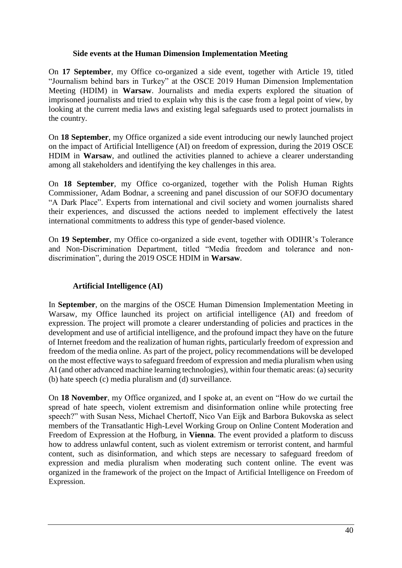#### **Side events at the Human Dimension Implementation Meeting**

On **17 September**, my Office co-organized a side event, together with Article 19, titled "Journalism behind bars in Turkey" at the OSCE 2019 Human Dimension Implementation Meeting (HDIM) in **Warsaw**. Journalists and media experts explored the situation of imprisoned journalists and tried to explain why this is the case from a legal point of view, by looking at the current media laws and existing legal safeguards used to protect journalists in the country.

On **18 September**, my Office organized a side event introducing our newly launched project on the impact of Artificial Intelligence (AI) on freedom of expression, during the 2019 OSCE HDIM in **Warsaw**, and outlined the activities planned to achieve a clearer understanding among all stakeholders and identifying the key challenges in this area.

On **18 September**, my Office co-organized, together with the Polish Human Rights Commissioner, Adam Bodnar, a screening and panel discussion of our SOFJO documentary "A Dark Place". Experts from international and civil society and women journalists shared their experiences, and discussed the actions needed to implement effectively the latest international commitments to address this type of gender-based violence.

On **19 September**, my Office co-organized a side event, together with ODIHR's Tolerance and Non-Discrimination Department, titled "Media freedom and tolerance and nondiscrimination", during the 2019 OSCE HDIM in **Warsaw**.

#### **Artificial Intelligence (AI)**

In **September**, on the margins of the OSCE Human Dimension Implementation Meeting in Warsaw, my Office launched its project on artificial intelligence (AI) and freedom of expression. The project will promote a clearer understanding of policies and practices in the development and use of artificial intelligence, and the profound impact they have on the future of Internet freedom and the realization of human rights, particularly freedom of expression and freedom of the media online. As part of the project, policy recommendations will be developed on the most effective ways to safeguard freedom of expression and media pluralism when using AI (and other advanced machine learning technologies), within four thematic areas: (a) security (b) hate speech (c) media pluralism and (d) surveillance.

On **18 November**, my Office organized, and I spoke at, an event on "How do we curtail the spread of hate speech, violent extremism and disinformation online while protecting free speech?" with Susan Ness, Michael Chertoff, Nico Van Eijk and Barbora Bukovska as select members of the Transatlantic High-Level Working Group on Online Content Moderation and Freedom of Expression at the Hofburg, in **Vienna**. The event provided a platform to discuss how to address unlawful content, such as violent extremism or terrorist content, and harmful content, such as disinformation, and which steps are necessary to safeguard freedom of expression and media pluralism when moderating such content online. The event was organized in the framework of the project on the Impact of Artificial Intelligence on Freedom of Expression.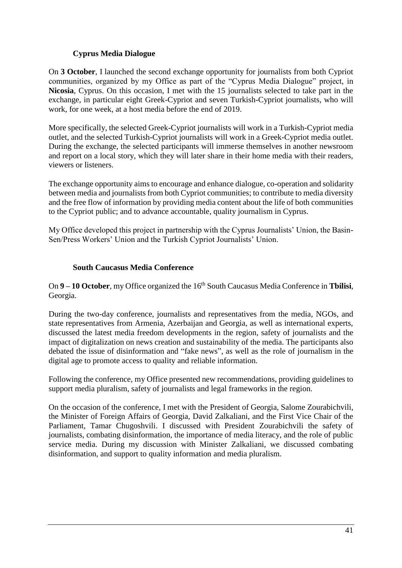### **Cyprus Media Dialogue**

On **3 October**, I launched the second exchange opportunity for journalists from both Cypriot communities, organized by my Office as part of the "Cyprus Media Dialogue" project, in **Nicosia**, Cyprus. On this occasion, I met with the 15 journalists selected to take part in the exchange, in particular eight Greek-Cypriot and seven Turkish-Cypriot journalists, who will work, for one week, at a host media before the end of 2019.

More specifically, the selected Greek-Cypriot journalists will work in a Turkish-Cypriot media outlet, and the selected Turkish-Cypriot journalists will work in a Greek-Cypriot media outlet. During the exchange, the selected participants will immerse themselves in another newsroom and report on a local story, which they will later share in their home media with their readers, viewers or listeners.

The exchange opportunity aims to encourage and enhance dialogue, co-operation and solidarity between media and journalists from both Cypriot communities; to contribute to media diversity and the free flow of information by providing media content about the life of both communities to the Cypriot public; and to advance accountable, quality journalism in Cyprus.

My Office developed this project in partnership with the Cyprus Journalists' Union, the Basin-Sen/Press Workers' Union and the Turkish Cypriot Journalists' Union.

### **South Caucasus Media Conference**

On **9** – **10 October**, my Office organized the 16<sup>th</sup> South Caucasus Media Conference in **Tbilisi**, Georgia.

During the two-day conference, journalists and representatives from the media, NGOs, and state representatives from Armenia, Azerbaijan and Georgia, as well as international experts, discussed the latest media freedom developments in the region, safety of journalists and the impact of digitalization on news creation and sustainability of the media. The participants also debated the issue of disinformation and "fake news", as well as the role of journalism in the digital age to promote access to quality and reliable information.

Following the conference, my Office presented new recommendations, providing guidelines to support media pluralism, safety of journalists and legal frameworks in the region.

On the occasion of the conference, I met with the President of Georgia, Salome Zourabichvili, the Minister of Foreign Affairs of Georgia, David Zalkaliani, and the First Vice Chair of the Parliament, Tamar Chugoshvili. I discussed with President Zourabichvili the safety of journalists, combating disinformation, the importance of media literacy, and the role of public service media. During my discussion with Minister Zalkaliani, we discussed combating disinformation, and support to quality information and media pluralism.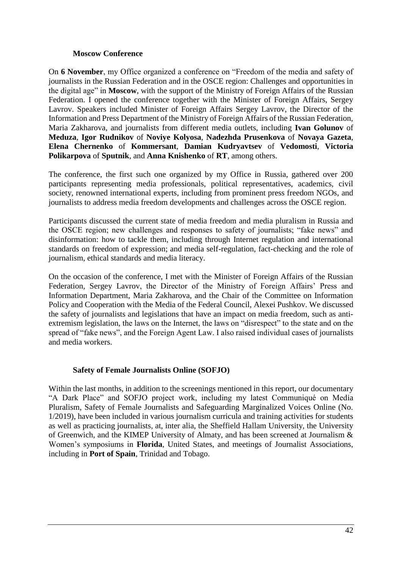#### **Moscow Conference**

On **6 November**, my Office organized a conference on "Freedom of the media and safety of journalists in the Russian Federation and in the OSCE region: Challenges and opportunities in the digital age" in **Moscow**, with the support of the Ministry of Foreign Affairs of the Russian Federation. I opened the conference together with the Minister of Foreign Affairs, Sergey Lavrov. Speakers included Minister of Foreign Affairs Sergey Lavrov, the Director of the Information and Press Department of the Ministry of Foreign Affairs of the Russian Federation, Maria Zakharova, and journalists from different media outlets, including **Ivan Golunov** of **Meduza**, **Igor Rudnikov** of **Noviye Kolyosa**, **Nadezhda Prusenkova** of **Novaya Gazeta**, **Elena Chernenko** of **Kommersant**, **Damian Kudryavtsev** of **Vedomosti**, **Victoria Polikarpova** of **Sputnik**, and **Anna Knishenko** of **RT**, among others.

The conference, the first such one organized by my Office in Russia, gathered over 200 participants representing media professionals, political representatives, academics, civil society, renowned international experts, including from prominent press freedom NGOs, and journalists to address media freedom developments and challenges across the OSCE region.

Participants discussed the current state of media freedom and media pluralism in Russia and the OSCE region; new challenges and responses to safety of journalists; "fake news" and disinformation: how to tackle them, including through Internet regulation and international standards on freedom of expression; and media self-regulation, fact-checking and the role of journalism, ethical standards and media literacy.

On the occasion of the conference, I met with the Minister of Foreign Affairs of the Russian Federation, Sergey Lavrov, the Director of the Ministry of Foreign Affairs' Press and Information Department, Maria Zakharova, and the Chair of the Committee on Information Policy and Cooperation with the Media of the Federal Council, Alexei Pushkov. We discussed the safety of journalists and legislations that have an impact on media freedom, such as antiextremism legislation, the laws on the Internet, the laws on "disrespect" to the state and on the spread of "fake news", and the Foreign Agent Law. I also raised individual cases of journalists and media workers.

#### **Safety of Female Journalists Online (SOFJO)**

Within the last months, in addition to the screenings mentioned in this report, our documentary "A Dark Place" and SOFJO project work, including my latest Communiqué on Media Pluralism, Safety of Female Journalists and Safeguarding Marginalized Voices Online (No. 1/2019), have been included in various journalism curricula and training activities for students as well as practicing journalists, at, inter alia, the Sheffield Hallam University, the University of Greenwich, and the KIMEP University of Almaty, and has been screened at Journalism & Women's symposiums in **Florida**, United States, and meetings of Journalist Associations, including in **Port of Spain**, Trinidad and Tobago.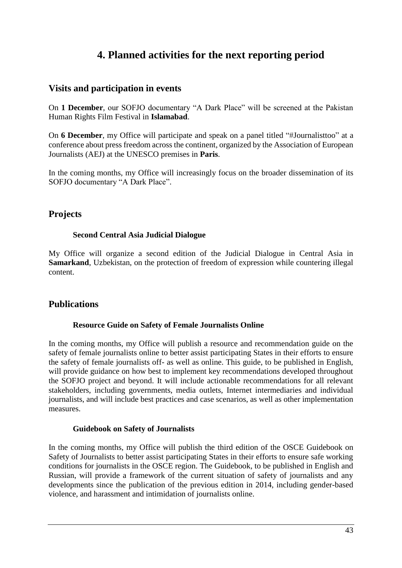# **4. Planned activities for the next reporting period**

# **Visits and participation in events**

On **1 December**, our SOFJO documentary "A Dark Place" will be screened at the Pakistan Human Rights Film Festival in **Islamabad**.

On **6 December**, my Office will participate and speak on a panel titled "#Journalisttoo" at a conference about press freedom across the continent, organized by the Association of European Journalists (AEJ) at the UNESCO premises in **Paris**.

In the coming months, my Office will increasingly focus on the broader dissemination of its SOFJO documentary "A Dark Place".

# **Projects**

#### **Second Central Asia Judicial Dialogue**

My Office will organize a second edition of the Judicial Dialogue in Central Asia in **Samarkand**, Uzbekistan, on the protection of freedom of expression while countering illegal content.

# **Publications**

#### **Resource Guide on Safety of Female Journalists Online**

In the coming months, my Office will publish a resource and recommendation guide on the safety of female journalists online to better assist participating States in their efforts to ensure the safety of female journalists off- as well as online. This guide, to be published in English, will provide guidance on how best to implement key recommendations developed throughout the SOFJO project and beyond. It will include actionable recommendations for all relevant stakeholders, including governments, media outlets, Internet intermediaries and individual journalists, and will include best practices and case scenarios, as well as other implementation measures.

#### **Guidebook on Safety of Journalists**

In the coming months, my Office will publish the third edition of the OSCE Guidebook on Safety of Journalists to better assist participating States in their efforts to ensure safe working conditions for journalists in the OSCE region. The Guidebook, to be published in English and Russian, will provide a framework of the current situation of safety of journalists and any developments since the publication of the previous edition in 2014, including gender-based violence, and harassment and intimidation of journalists online.